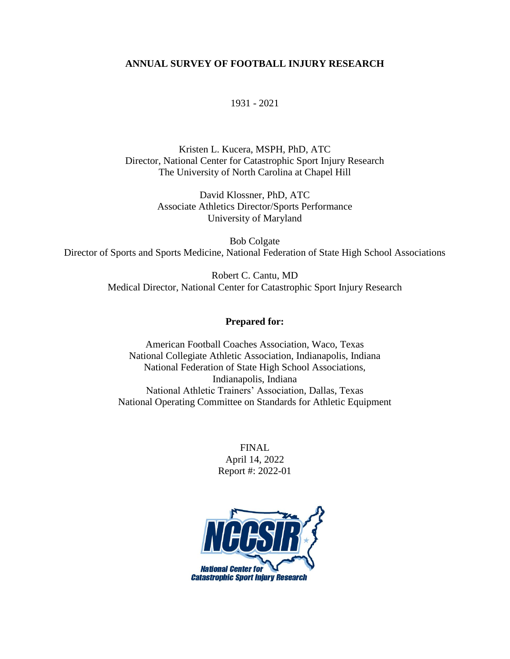### **ANNUAL SURVEY OF FOOTBALL INJURY RESEARCH**

1931 - 2021

Kristen L. Kucera, MSPH, PhD, ATC Director, National Center for Catastrophic Sport Injury Research The University of North Carolina at Chapel Hill

> David Klossner, PhD, ATC Associate Athletics Director/Sports Performance University of Maryland

Bob Colgate Director of Sports and Sports Medicine, National Federation of State High School Associations

> Robert C. Cantu, MD Medical Director, National Center for Catastrophic Sport Injury Research

### **Prepared for:**

American Football Coaches Association, Waco, Texas National Collegiate Athletic Association, Indianapolis, Indiana National Federation of State High School Associations, Indianapolis, Indiana National Athletic Trainers' Association, Dallas, Texas National Operating Committee on Standards for Athletic Equipment

> FINAL April 14, 2022 Report #: 2022-01

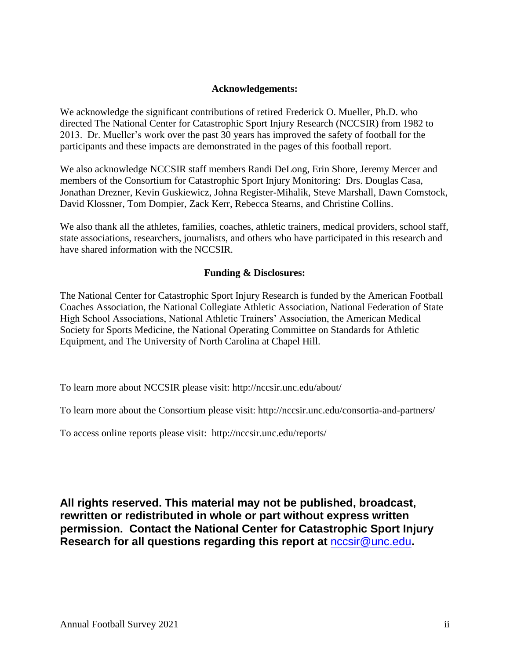### **Acknowledgements:**

We acknowledge the significant contributions of retired Frederick O. Mueller, Ph.D. who directed The National Center for Catastrophic Sport Injury Research (NCCSIR) from 1982 to 2013. Dr. Mueller's work over the past 30 years has improved the safety of football for the participants and these impacts are demonstrated in the pages of this football report.

We also acknowledge NCCSIR staff members Randi DeLong, Erin Shore, Jeremy Mercer and members of the Consortium for Catastrophic Sport Injury Monitoring: Drs. Douglas Casa, Jonathan Drezner, Kevin Guskiewicz, Johna Register-Mihalik, Steve Marshall, Dawn Comstock, David Klossner, Tom Dompier, Zack Kerr, Rebecca Stearns, and Christine Collins.

We also thank all the athletes, families, coaches, athletic trainers, medical providers, school staff, state associations, researchers, journalists, and others who have participated in this research and have shared information with the NCCSIR.

### **Funding & Disclosures:**

The National Center for Catastrophic Sport Injury Research is funded by the American Football Coaches Association, the National Collegiate Athletic Association, National Federation of State High School Associations, National Athletic Trainers' Association, the American Medical Society for Sports Medicine, the National Operating Committee on Standards for Athletic Equipment, and The University of North Carolina at Chapel Hill.

To learn more about NCCSIR please visit: http://nccsir.unc.edu/about/

To learn more about the Consortium please visit: http://nccsir.unc.edu/consortia-and-partners/

To access online reports please visit: http://nccsir.unc.edu/reports/

**All rights reserved. This material may not be published, broadcast, rewritten or redistributed in whole or part without express written permission. Contact the National Center for Catastrophic Sport Injury Research for all questions regarding this report at** [nccsir@unc.edu](mailto:nccsir@unc.edu)**.**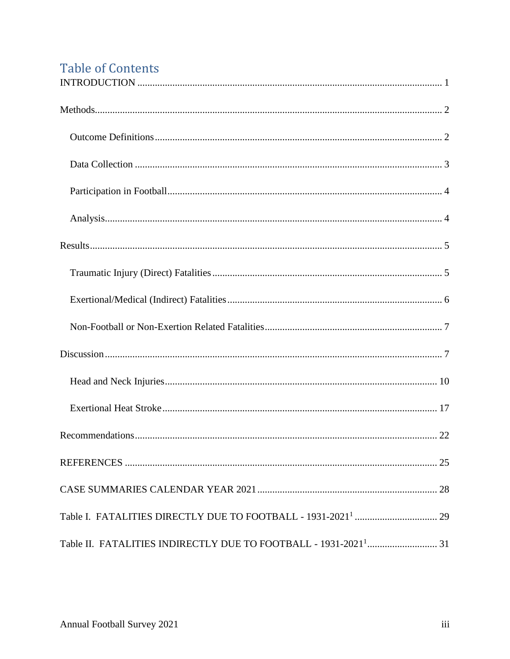# **Table of Contents**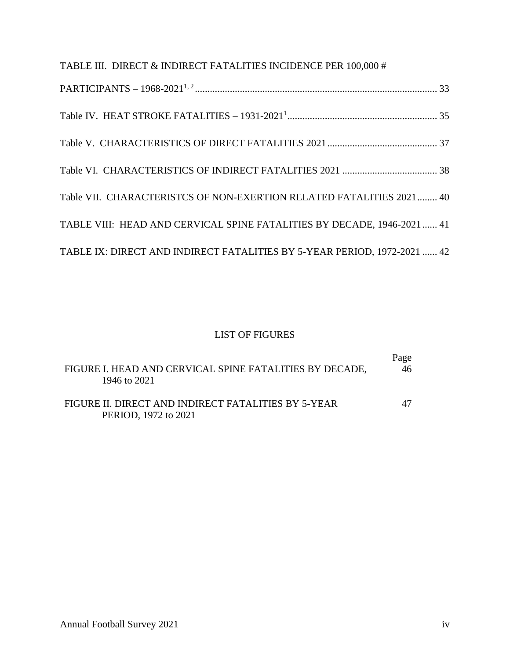| TABLE III. DIRECT & INDIRECT FATALITIES INCIDENCE PER 100,000 #          |
|--------------------------------------------------------------------------|
|                                                                          |
|                                                                          |
|                                                                          |
|                                                                          |
| Table VII. CHARACTERISTCS OF NON-EXERTION RELATED FATALITIES 2021  40    |
| TABLE VIII: HEAD AND CERVICAL SPINE FATALITIES BY DECADE, 1946-2021  41  |
| TABLE IX: DIRECT AND INDIRECT FATALITIES BY 5-YEAR PERIOD, 1972-2021  42 |

# LIST OF FIGURES

| FIGURE I. HEAD AND CERVICAL SPINE FATALITIES BY DECADE,                     | Page |
|-----------------------------------------------------------------------------|------|
| 1946 to 2021                                                                | 46   |
| FIGURE II. DIRECT AND INDIRECT FATALITIES BY 5-YEAR<br>PERIOD, 1972 to 2021 | 47   |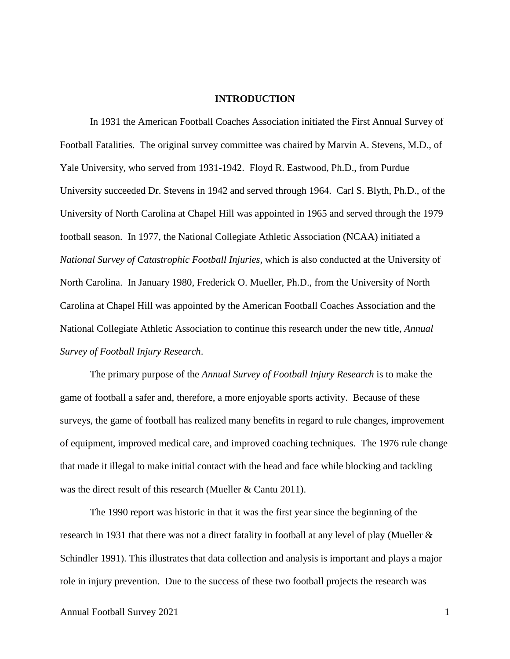#### **INTRODUCTION**

<span id="page-4-0"></span>In 1931 the American Football Coaches Association initiated the First Annual Survey of Football Fatalities. The original survey committee was chaired by Marvin A. Stevens, M.D., of Yale University, who served from 1931-1942. Floyd R. Eastwood, Ph.D., from Purdue University succeeded Dr. Stevens in 1942 and served through 1964. Carl S. Blyth, Ph.D., of the University of North Carolina at Chapel Hill was appointed in 1965 and served through the 1979 football season. In 1977, the National Collegiate Athletic Association (NCAA) initiated a *National Survey of Catastrophic Football Injuries*, which is also conducted at the University of North Carolina. In January 1980, Frederick O. Mueller, Ph.D., from the University of North Carolina at Chapel Hill was appointed by the American Football Coaches Association and the National Collegiate Athletic Association to continue this research under the new title, *Annual Survey of Football Injury Research*.

The primary purpose of the *Annual Survey of Football Injury Research* is to make the game of football a safer and, therefore, a more enjoyable sports activity. Because of these surveys, the game of football has realized many benefits in regard to rule changes, improvement of equipment, improved medical care, and improved coaching techniques. The 1976 rule change that made it illegal to make initial contact with the head and face while blocking and tackling was the direct result of this research (Mueller & Cantu 2011).

The 1990 report was historic in that it was the first year since the beginning of the research in 1931 that there was not a direct fatality in football at any level of play (Mueller & Schindler 1991). This illustrates that data collection and analysis is important and plays a major role in injury prevention. Due to the success of these two football projects the research was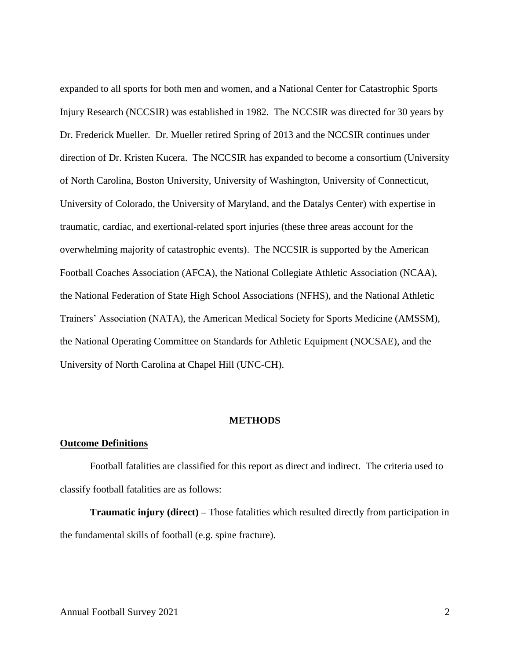expanded to all sports for both men and women, and a National Center for Catastrophic Sports Injury Research (NCCSIR) was established in 1982. The NCCSIR was directed for 30 years by Dr. Frederick Mueller. Dr. Mueller retired Spring of 2013 and the NCCSIR continues under direction of Dr. Kristen Kucera. The NCCSIR has expanded to become a consortium (University of North Carolina, Boston University, University of Washington, University of Connecticut, University of Colorado, the University of Maryland, and the Datalys Center) with expertise in traumatic, cardiac, and exertional-related sport injuries (these three areas account for the overwhelming majority of catastrophic events). The NCCSIR is supported by the American Football Coaches Association (AFCA), the National Collegiate Athletic Association (NCAA), the National Federation of State High School Associations (NFHS), and the National Athletic Trainers' Association (NATA), the American Medical Society for Sports Medicine (AMSSM), the National Operating Committee on Standards for Athletic Equipment (NOCSAE), and the University of North Carolina at Chapel Hill (UNC-CH).

#### **METHODS**

#### <span id="page-5-1"></span><span id="page-5-0"></span>**Outcome Definitions**

Football fatalities are classified for this report as direct and indirect. The criteria used to classify football fatalities are as follows:

**Traumatic injury (direct) –** Those fatalities which resulted directly from participation in the fundamental skills of football (e.g. spine fracture).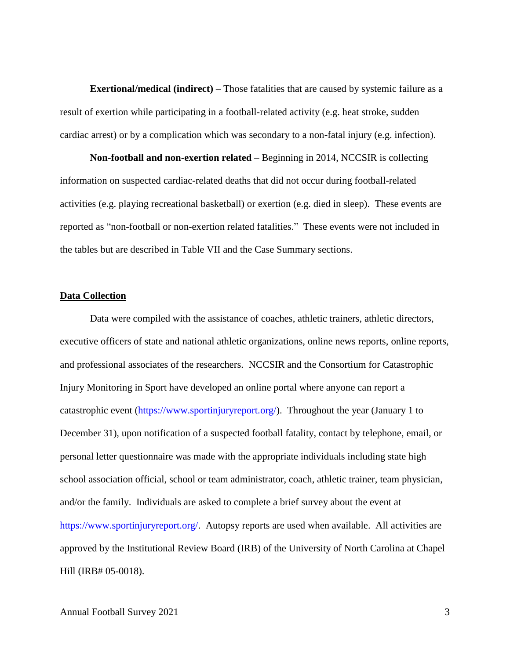**Exertional/medical (indirect)** – Those fatalities that are caused by systemic failure as a result of exertion while participating in a football-related activity (e.g. heat stroke, sudden cardiac arrest) or by a complication which was secondary to a non-fatal injury (e.g. infection).

**Non-football and non-exertion related** – Beginning in 2014, NCCSIR is collecting information on suspected cardiac-related deaths that did not occur during football-related activities (e.g. playing recreational basketball) or exertion (e.g. died in sleep). These events are reported as "non-football or non-exertion related fatalities." These events were not included in the tables but are described in Table VII and the Case Summary sections.

#### <span id="page-6-0"></span>**Data Collection**

Data were compiled with the assistance of coaches, athletic trainers, athletic directors, executive officers of state and national athletic organizations, online news reports, online reports, and professional associates of the researchers. NCCSIR and the Consortium for Catastrophic Injury Monitoring in Sport have developed an online portal where anyone can report a catastrophic event [\(https://www.sportinjuryreport.org/\)](https://www.sportinjuryreport.org/). Throughout the year (January 1 to December 31), upon notification of a suspected football fatality, contact by telephone, email, or personal letter questionnaire was made with the appropriate individuals including state high school association official, school or team administrator, coach, athletic trainer, team physician, and/or the family. Individuals are asked to complete a brief survey about the event at [https://www.sportinjuryreport.org/.](https://login.microsoftonline.com/common/oauth2/authorize?response_type=code&client_id=ab9b8c07-8f02-4f72-87fa-80105867a763&redirect_uri=https%3a%2f%2flogin.windows.net%2fcommon%2foauth2%2fnativeclient&nux=1&msafed=0&login_hint=hmprice%40ad.unc.edu&sso_nonce=AQABAAAAAACEfexXxjamQb3OeGQ4Gugv0_csuS70x-yBE7Xg3GaJgsvZQeWOiK0nU5XTaFypvOpD6WxQAwYp1YErll7SfZ_fhYs3p-YHP-bxZSNUz5oxDCAA&client-request-id=5bf43101-6af7-4e3c-992a-d793fb13fc9e&mscrid=5bf43101-6af7-4e3c-992a-d793fb13fc9e) Autopsy reports are used when available. All activities are approved by the Institutional Review Board (IRB) of the University of North Carolina at Chapel Hill (IRB# 05-0018).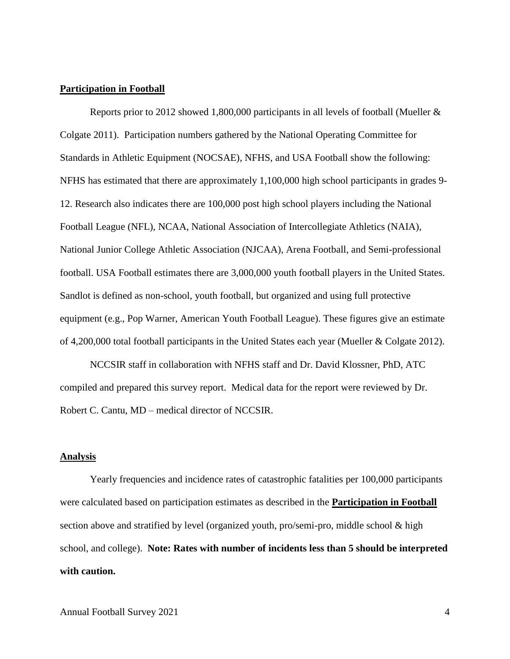#### <span id="page-7-0"></span>**Participation in Football**

Reports prior to 2012 showed 1,800,000 participants in all levels of football (Mueller & Colgate 2011). Participation numbers gathered by the National Operating Committee for Standards in Athletic Equipment (NOCSAE), NFHS, and USA Football show the following: NFHS has estimated that there are approximately 1,100,000 high school participants in grades 9- 12. Research also indicates there are 100,000 post high school players including the National Football League (NFL), NCAA, National Association of Intercollegiate Athletics (NAIA), National Junior College Athletic Association (NJCAA), Arena Football, and Semi-professional football. USA Football estimates there are 3,000,000 youth football players in the United States. Sandlot is defined as non-school, youth football, but organized and using full protective equipment (e.g., Pop Warner, American Youth Football League). These figures give an estimate of 4,200,000 total football participants in the United States each year (Mueller & Colgate 2012).

NCCSIR staff in collaboration with NFHS staff and Dr. David Klossner, PhD, ATC compiled and prepared this survey report. Medical data for the report were reviewed by Dr. Robert C. Cantu, MD – medical director of NCCSIR.

#### <span id="page-7-1"></span>**Analysis**

Yearly frequencies and incidence rates of catastrophic fatalities per 100,000 participants were calculated based on participation estimates as described in the **Participation in Football** section above and stratified by level (organized youth, pro/semi-pro, middle school & high school, and college). **Note: Rates with number of incidents less than 5 should be interpreted with caution.**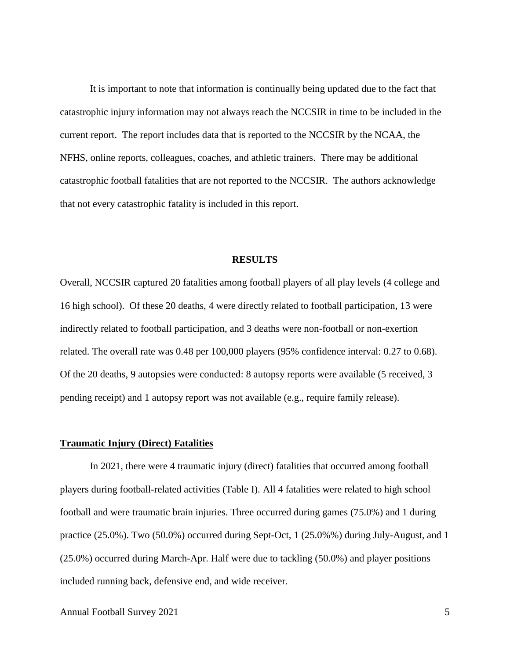It is important to note that information is continually being updated due to the fact that catastrophic injury information may not always reach the NCCSIR in time to be included in the current report. The report includes data that is reported to the NCCSIR by the NCAA, the NFHS, online reports, colleagues, coaches, and athletic trainers. There may be additional catastrophic football fatalities that are not reported to the NCCSIR. The authors acknowledge that not every catastrophic fatality is included in this report.

#### **RESULTS**

<span id="page-8-0"></span>Overall, NCCSIR captured 20 fatalities among football players of all play levels (4 college and 16 high school). Of these 20 deaths, 4 were directly related to football participation, 13 were indirectly related to football participation, and 3 deaths were non-football or non-exertion related. The overall rate was 0.48 per 100,000 players (95% confidence interval: 0.27 to 0.68). Of the 20 deaths, 9 autopsies were conducted: 8 autopsy reports were available (5 received, 3 pending receipt) and 1 autopsy report was not available (e.g., require family release).

#### <span id="page-8-1"></span>**Traumatic Injury (Direct) Fatalities**

In 2021, there were 4 traumatic injury (direct) fatalities that occurred among football players during football-related activities (Table I). All 4 fatalities were related to high school football and were traumatic brain injuries. Three occurred during games (75.0%) and 1 during practice (25.0%). Two (50.0%) occurred during Sept-Oct, 1 (25.0%%) during July-August, and 1 (25.0%) occurred during March-Apr. Half were due to tackling (50.0%) and player positions included running back, defensive end, and wide receiver.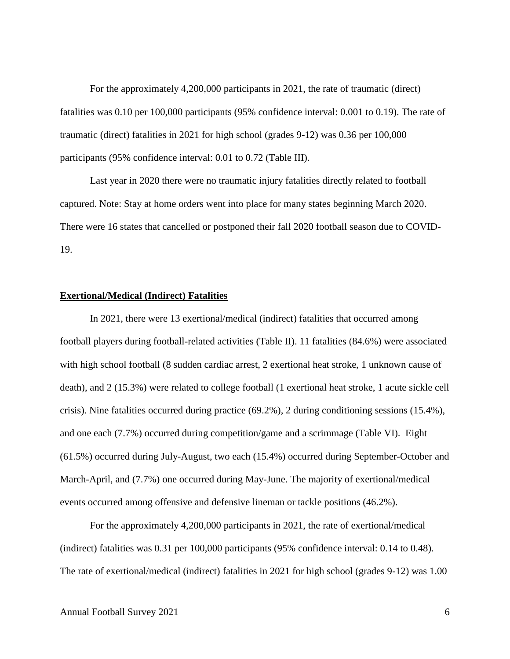For the approximately 4,200,000 participants in 2021, the rate of traumatic (direct) fatalities was 0.10 per 100,000 participants (95% confidence interval: 0.001 to 0.19). The rate of traumatic (direct) fatalities in 2021 for high school (grades 9-12) was 0.36 per 100,000 participants (95% confidence interval: 0.01 to 0.72 (Table III).

Last year in 2020 there were no traumatic injury fatalities directly related to football captured. Note: Stay at home orders went into place for many states beginning March 2020. There were 16 states that cancelled or postponed their fall 2020 football season due to COVID-19.

#### <span id="page-9-0"></span>**Exertional/Medical (Indirect) Fatalities**

In 2021, there were 13 exertional/medical (indirect) fatalities that occurred among football players during football-related activities (Table II). 11 fatalities (84.6%) were associated with high school football (8 sudden cardiac arrest, 2 exertional heat stroke, 1 unknown cause of death), and 2 (15.3%) were related to college football (1 exertional heat stroke, 1 acute sickle cell crisis). Nine fatalities occurred during practice (69.2%), 2 during conditioning sessions (15.4%), and one each (7.7%) occurred during competition/game and a scrimmage (Table VI). Eight (61.5%) occurred during July-August, two each (15.4%) occurred during September-October and March-April, and (7.7%) one occurred during May-June. The majority of exertional/medical events occurred among offensive and defensive lineman or tackle positions (46.2%).

For the approximately 4,200,000 participants in 2021, the rate of exertional/medical (indirect) fatalities was 0.31 per 100,000 participants (95% confidence interval: 0.14 to 0.48). The rate of exertional/medical (indirect) fatalities in 2021 for high school (grades 9-12) was 1.00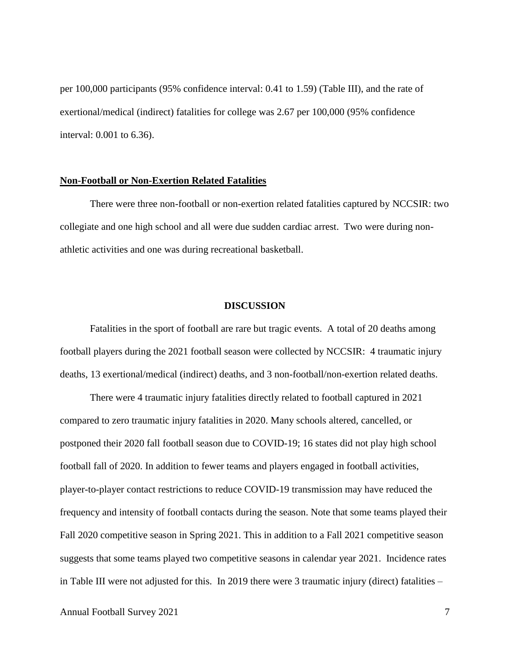per 100,000 participants (95% confidence interval: 0.41 to 1.59) (Table III), and the rate of exertional/medical (indirect) fatalities for college was 2.67 per 100,000 (95% confidence interval: 0.001 to 6.36).

#### <span id="page-10-0"></span>**Non-Football or Non-Exertion Related Fatalities**

There were three non-football or non-exertion related fatalities captured by NCCSIR: two collegiate and one high school and all were due sudden cardiac arrest. Two were during nonathletic activities and one was during recreational basketball.

#### **DISCUSSION**

<span id="page-10-1"></span>Fatalities in the sport of football are rare but tragic events. A total of 20 deaths among football players during the 2021 football season were collected by NCCSIR: 4 traumatic injury deaths, 13 exertional/medical (indirect) deaths, and 3 non-football/non-exertion related deaths.

There were 4 traumatic injury fatalities directly related to football captured in 2021 compared to zero traumatic injury fatalities in 2020. Many schools altered, cancelled, or postponed their 2020 fall football season due to COVID-19; 16 states did not play high school football fall of 2020. In addition to fewer teams and players engaged in football activities, player-to-player contact restrictions to reduce COVID-19 transmission may have reduced the frequency and intensity of football contacts during the season. Note that some teams played their Fall 2020 competitive season in Spring 2021. This in addition to a Fall 2021 competitive season suggests that some teams played two competitive seasons in calendar year 2021. Incidence rates in Table III were not adjusted for this. In 2019 there were 3 traumatic injury (direct) fatalities –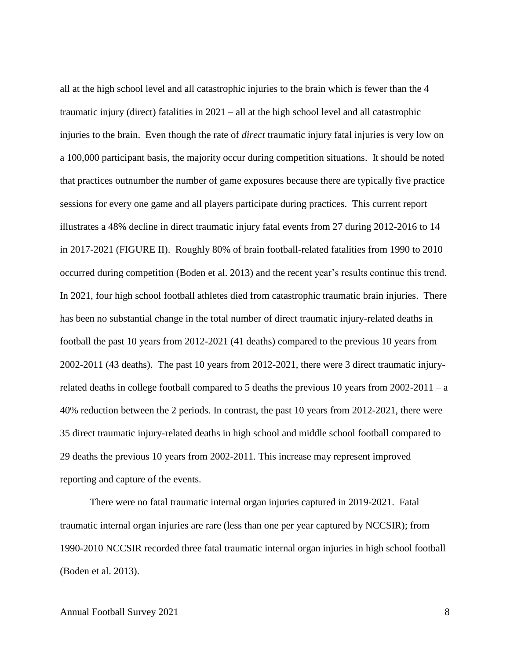all at the high school level and all catastrophic injuries to the brain which is fewer than the 4 traumatic injury (direct) fatalities in 2021 – all at the high school level and all catastrophic injuries to the brain. Even though the rate of *direct* traumatic injury fatal injuries is very low on a 100,000 participant basis, the majority occur during competition situations. It should be noted that practices outnumber the number of game exposures because there are typically five practice sessions for every one game and all players participate during practices. This current report illustrates a 48% decline in direct traumatic injury fatal events from 27 during 2012-2016 to 14 in 2017-2021 (FIGURE II). Roughly 80% of brain football-related fatalities from 1990 to 2010 occurred during competition (Boden et al. 2013) and the recent year's results continue this trend. In 2021, four high school football athletes died from catastrophic traumatic brain injuries. There has been no substantial change in the total number of direct traumatic injury-related deaths in football the past 10 years from 2012-2021 (41 deaths) compared to the previous 10 years from 2002-2011 (43 deaths). The past 10 years from 2012-2021, there were 3 direct traumatic injuryrelated deaths in college football compared to 5 deaths the previous 10 years from  $2002-2011 - a$ 40% reduction between the 2 periods. In contrast, the past 10 years from 2012-2021, there were 35 direct traumatic injury-related deaths in high school and middle school football compared to 29 deaths the previous 10 years from 2002-2011. This increase may represent improved reporting and capture of the events.

There were no fatal traumatic internal organ injuries captured in 2019-2021. Fatal traumatic internal organ injuries are rare (less than one per year captured by NCCSIR); from 1990-2010 NCCSIR recorded three fatal traumatic internal organ injuries in high school football (Boden et al. 2013).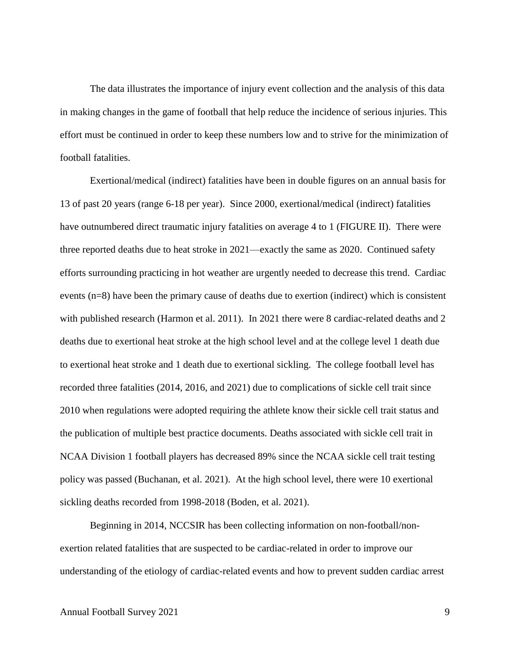The data illustrates the importance of injury event collection and the analysis of this data in making changes in the game of football that help reduce the incidence of serious injuries. This effort must be continued in order to keep these numbers low and to strive for the minimization of football fatalities.

Exertional/medical (indirect) fatalities have been in double figures on an annual basis for 13 of past 20 years (range 6-18 per year). Since 2000, exertional/medical (indirect) fatalities have outnumbered direct traumatic injury fatalities on average 4 to 1 (FIGURE II). There were three reported deaths due to heat stroke in 2021—exactly the same as 2020. Continued safety efforts surrounding practicing in hot weather are urgently needed to decrease this trend. Cardiac events (n=8) have been the primary cause of deaths due to exertion (indirect) which is consistent with published research (Harmon et al. 2011). In 2021 there were 8 cardiac-related deaths and 2 deaths due to exertional heat stroke at the high school level and at the college level 1 death due to exertional heat stroke and 1 death due to exertional sickling. The college football level has recorded three fatalities (2014, 2016, and 2021) due to complications of sickle cell trait since 2010 when regulations were adopted requiring the athlete know their sickle cell trait status and the publication of multiple best practice documents. Deaths associated with sickle cell trait in NCAA Division 1 football players has decreased 89% since the NCAA sickle cell trait testing policy was passed (Buchanan, et al. 2021). At the high school level, there were 10 exertional sickling deaths recorded from 1998-2018 (Boden, et al. 2021).

Beginning in 2014, NCCSIR has been collecting information on non-football/nonexertion related fatalities that are suspected to be cardiac-related in order to improve our understanding of the etiology of cardiac-related events and how to prevent sudden cardiac arrest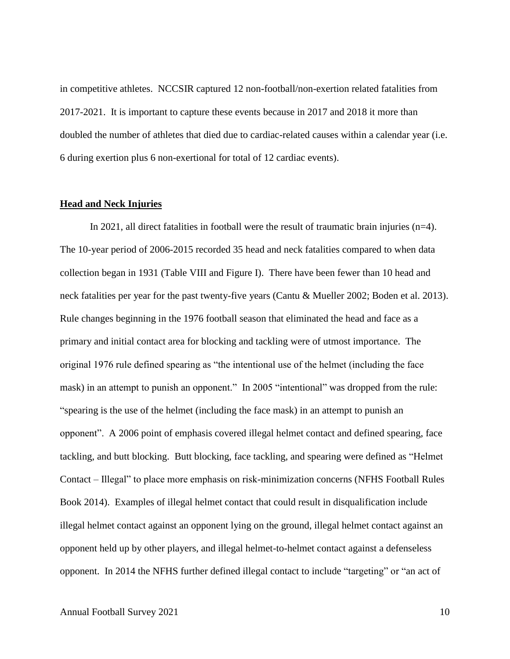in competitive athletes. NCCSIR captured 12 non-football/non-exertion related fatalities from 2017-2021. It is important to capture these events because in 2017 and 2018 it more than doubled the number of athletes that died due to cardiac-related causes within a calendar year (i.e. 6 during exertion plus 6 non-exertional for total of 12 cardiac events).

#### <span id="page-13-0"></span>**Head and Neck Injuries**

In 2021, all direct fatalities in football were the result of traumatic brain injuries (n=4). The 10-year period of 2006-2015 recorded 35 head and neck fatalities compared to when data collection began in 1931 (Table VIII and Figure I). There have been fewer than 10 head and neck fatalities per year for the past twenty-five years (Cantu & Mueller 2002; Boden et al. 2013). Rule changes beginning in the 1976 football season that eliminated the head and face as a primary and initial contact area for blocking and tackling were of utmost importance. The original 1976 rule defined spearing as "the intentional use of the helmet (including the face mask) in an attempt to punish an opponent." In 2005 "intentional" was dropped from the rule: "spearing is the use of the helmet (including the face mask) in an attempt to punish an opponent". A 2006 point of emphasis covered illegal helmet contact and defined spearing, face tackling, and butt blocking. Butt blocking, face tackling, and spearing were defined as "Helmet Contact – Illegal" to place more emphasis on risk-minimization concerns (NFHS Football Rules Book 2014). Examples of illegal helmet contact that could result in disqualification include illegal helmet contact against an opponent lying on the ground, illegal helmet contact against an opponent held up by other players, and illegal helmet-to-helmet contact against a defenseless opponent. In 2014 the NFHS further defined illegal contact to include "targeting" or "an act of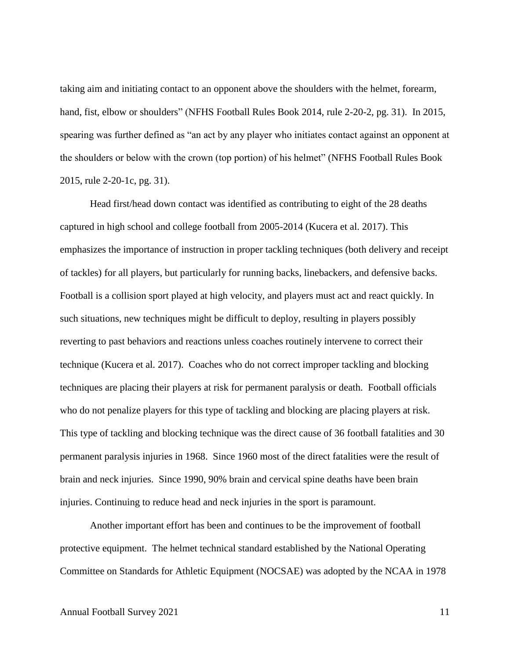taking aim and initiating contact to an opponent above the shoulders with the helmet, forearm, hand, fist, elbow or shoulders" (NFHS Football Rules Book 2014, rule 2-20-2, pg. 31). In 2015, spearing was further defined as "an act by any player who initiates contact against an opponent at the shoulders or below with the crown (top portion) of his helmet" (NFHS Football Rules Book 2015, rule 2-20-1c, pg. 31).

Head first/head down contact was identified as contributing to eight of the 28 deaths captured in high school and college football from 2005-2014 (Kucera et al. 2017). This emphasizes the importance of instruction in proper tackling techniques (both delivery and receipt of tackles) for all players, but particularly for running backs, linebackers, and defensive backs. Football is a collision sport played at high velocity, and players must act and react quickly. In such situations, new techniques might be difficult to deploy, resulting in players possibly reverting to past behaviors and reactions unless coaches routinely intervene to correct their technique (Kucera et al. 2017). Coaches who do not correct improper tackling and blocking techniques are placing their players at risk for permanent paralysis or death. Football officials who do not penalize players for this type of tackling and blocking are placing players at risk. This type of tackling and blocking technique was the direct cause of 36 football fatalities and 30 permanent paralysis injuries in 1968. Since 1960 most of the direct fatalities were the result of brain and neck injuries. Since 1990, 90% brain and cervical spine deaths have been brain injuries. Continuing to reduce head and neck injuries in the sport is paramount.

Another important effort has been and continues to be the improvement of football protective equipment. The helmet technical standard established by the National Operating Committee on Standards for Athletic Equipment (NOCSAE) was adopted by the NCAA in 1978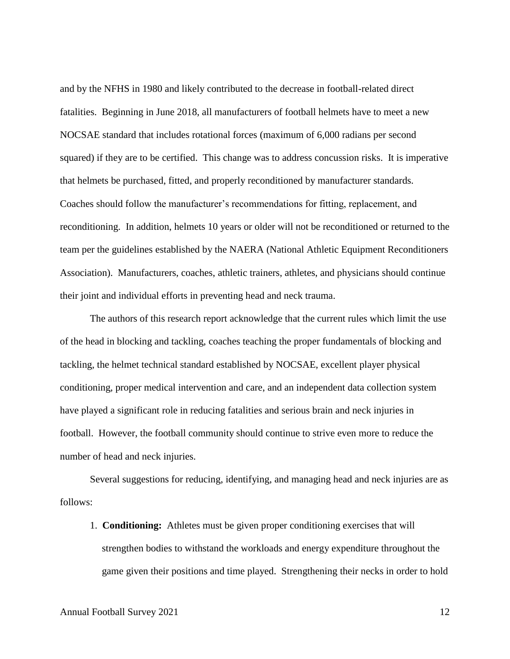and by the NFHS in 1980 and likely contributed to the decrease in football-related direct fatalities. Beginning in June 2018, all manufacturers of football helmets have to meet a new NOCSAE standard that includes rotational forces (maximum of 6,000 radians per second squared) if they are to be certified. This change was to address concussion risks. It is imperative that helmets be purchased, fitted, and properly reconditioned by manufacturer standards. Coaches should follow the manufacturer's recommendations for fitting, replacement, and reconditioning. In addition, helmets 10 years or older will not be reconditioned or returned to the team per the guidelines established by the NAERA (National Athletic Equipment Reconditioners Association). Manufacturers, coaches, athletic trainers, athletes, and physicians should continue their joint and individual efforts in preventing head and neck trauma.

The authors of this research report acknowledge that the current rules which limit the use of the head in blocking and tackling, coaches teaching the proper fundamentals of blocking and tackling, the helmet technical standard established by NOCSAE, excellent player physical conditioning, proper medical intervention and care, and an independent data collection system have played a significant role in reducing fatalities and serious brain and neck injuries in football. However, the football community should continue to strive even more to reduce the number of head and neck injuries.

Several suggestions for reducing, identifying, and managing head and neck injuries are as follows:

1. **Conditioning:** Athletes must be given proper conditioning exercises that will strengthen bodies to withstand the workloads and energy expenditure throughout the game given their positions and time played. Strengthening their necks in order to hold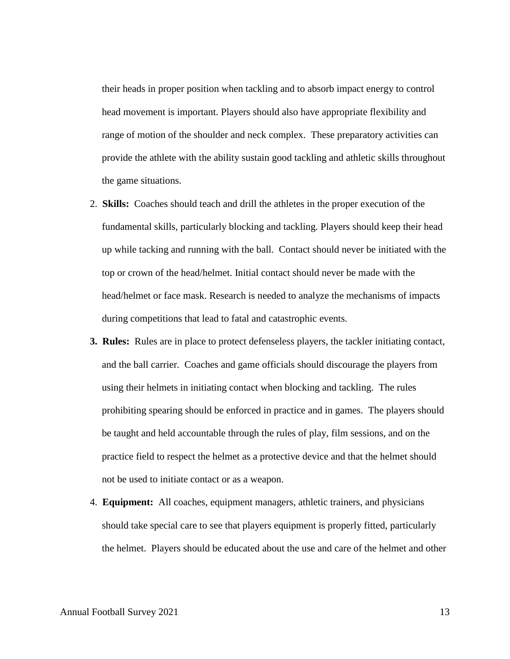their heads in proper position when tackling and to absorb impact energy to control head movement is important. Players should also have appropriate flexibility and range of motion of the shoulder and neck complex. These preparatory activities can provide the athlete with the ability sustain good tackling and athletic skills throughout the game situations.

- 2. **Skills:** Coaches should teach and drill the athletes in the proper execution of the fundamental skills, particularly blocking and tackling. Players should keep their head up while tacking and running with the ball. Contact should never be initiated with the top or crown of the head/helmet. Initial contact should never be made with the head/helmet or face mask. Research is needed to analyze the mechanisms of impacts during competitions that lead to fatal and catastrophic events.
- **3. Rules:** Rules are in place to protect defenseless players, the tackler initiating contact, and the ball carrier. Coaches and game officials should discourage the players from using their helmets in initiating contact when blocking and tackling. The rules prohibiting spearing should be enforced in practice and in games. The players should be taught and held accountable through the rules of play, film sessions, and on the practice field to respect the helmet as a protective device and that the helmet should not be used to initiate contact or as a weapon.
- 4. **Equipment:** All coaches, equipment managers, athletic trainers, and physicians should take special care to see that players equipment is properly fitted, particularly the helmet. Players should be educated about the use and care of the helmet and other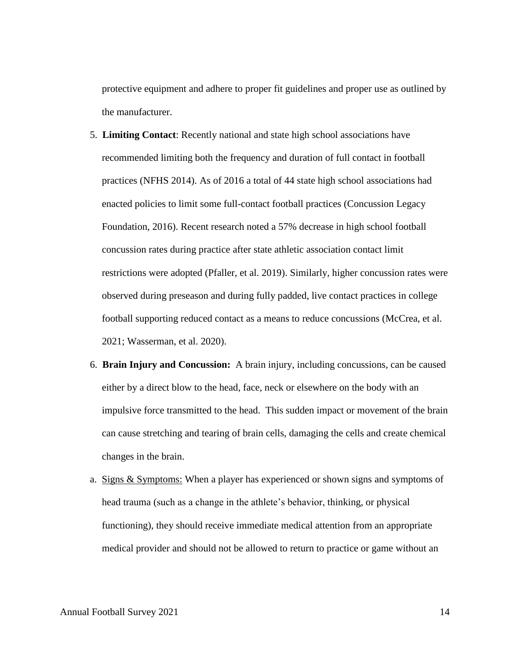protective equipment and adhere to proper fit guidelines and proper use as outlined by the manufacturer.

- 5. **Limiting Contact**: Recently national and state high school associations have recommended limiting both the frequency and duration of full contact in football practices (NFHS 2014). As of 2016 a total of 44 state high school associations had enacted policies to limit some full-contact football practices (Concussion Legacy Foundation, 2016). Recent research noted a 57% decrease in high school football concussion rates during practice after state athletic association contact limit restrictions were adopted (Pfaller, et al. 2019). Similarly, higher concussion rates were observed during preseason and during fully padded, live contact practices in college football supporting reduced contact as a means to reduce concussions (McCrea, et al. 2021; Wasserman, et al. 2020).
- 6. **Brain Injury and Concussion:** A brain injury, including concussions, can be caused either by a direct blow to the head, face, neck or elsewhere on the body with an impulsive force transmitted to the head. This sudden impact or movement of the brain can cause stretching and tearing of brain cells, damaging the cells and create chemical changes in the brain.
- a. Signs & Symptoms: When a player has experienced or shown signs and symptoms of head trauma (such as a change in the athlete's behavior, thinking, or physical functioning), they should receive immediate medical attention from an appropriate medical provider and should not be allowed to return to practice or game without an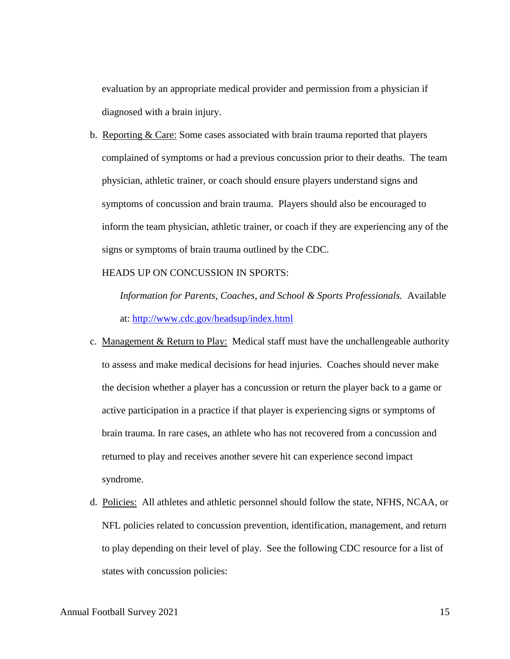evaluation by an appropriate medical provider and permission from a physician if diagnosed with a brain injury.

b. Reporting & Care: Some cases associated with brain trauma reported that players complained of symptoms or had a previous concussion prior to their deaths. The team physician, athletic trainer, or coach should ensure players understand signs and symptoms of concussion and brain trauma. Players should also be encouraged to inform the team physician, athletic trainer, or coach if they are experiencing any of the signs or symptoms of brain trauma outlined by the CDC.

HEADS UP ON CONCUSSION IN SPORTS:

*Information for Parents, Coaches, and School & Sports Professionals.* Available at:<http://www.cdc.gov/headsup/index.html>

- c. Management & Return to Play: Medical staff must have the unchallengeable authority to assess and make medical decisions for head injuries. Coaches should never make the decision whether a player has a concussion or return the player back to a game or active participation in a practice if that player is experiencing signs or symptoms of brain trauma. In rare cases, an athlete who has not recovered from a concussion and returned to play and receives another severe hit can experience second impact syndrome.
- d. Policies: All athletes and athletic personnel should follow the state, NFHS, NCAA, or NFL policies related to concussion prevention, identification, management, and return to play depending on their level of play. See the following CDC resource for a list of states with concussion policies: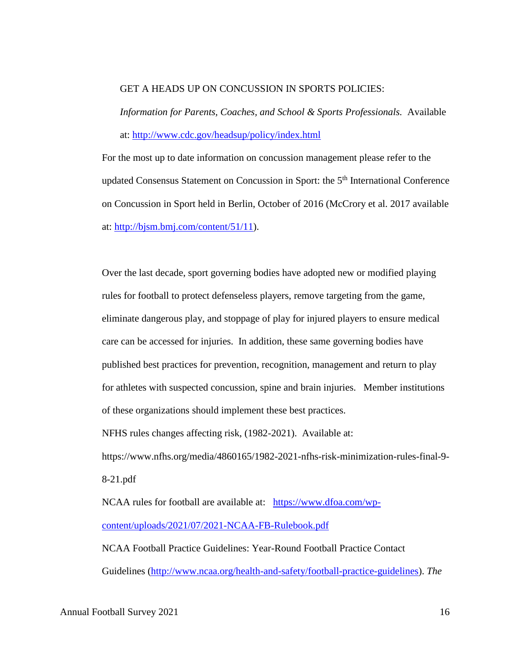#### GET A HEADS UP ON CONCUSSION IN SPORTS POLICIES:

*Information for Parents, Coaches, and School & Sports Professionals.* Available at:<http://www.cdc.gov/headsup/policy/index.html>

For the most up to date information on concussion management please refer to the updated Consensus Statement on Concussion in Sport: the 5<sup>th</sup> International Conference on Concussion in Sport held in Berlin, October of 2016 (McCrory et al. 2017 available at: [http://bjsm.bmj.com/content/51/11\)](http://bjsm.bmj.com/content/51/11).

Over the last decade, sport governing bodies have adopted new or modified playing rules for football to protect defenseless players, remove targeting from the game, eliminate dangerous play, and stoppage of play for injured players to ensure medical care can be accessed for injuries. In addition, these same governing bodies have published best practices for prevention, recognition, management and return to play for athletes with suspected concussion, spine and brain injuries. Member institutions of these organizations should implement these best practices.

NFHS rules changes affecting risk, (1982-2021). Available at:

https://www.nfhs.org/media/4860165/1982-2021-nfhs-risk-minimization-rules-final-9- 8-21.pdf

NCAA rules for football are available at: [https://www.dfoa.com/wp](https://www.dfoa.com/wp-content/uploads/2021/07/2021-NCAA-FB-Rulebook.pdf)[content/uploads/2021/07/2021-NCAA-FB-Rulebook.pdf](https://www.dfoa.com/wp-content/uploads/2021/07/2021-NCAA-FB-Rulebook.pdf) NCAA Football Practice Guidelines: Year-Round Football Practice Contact

Guidelines [\(http://www.ncaa.org/health-and-safety/football-practice-guidelines\)](http://www.ncaa.org/health-and-safety/football-practice-guidelines). *The*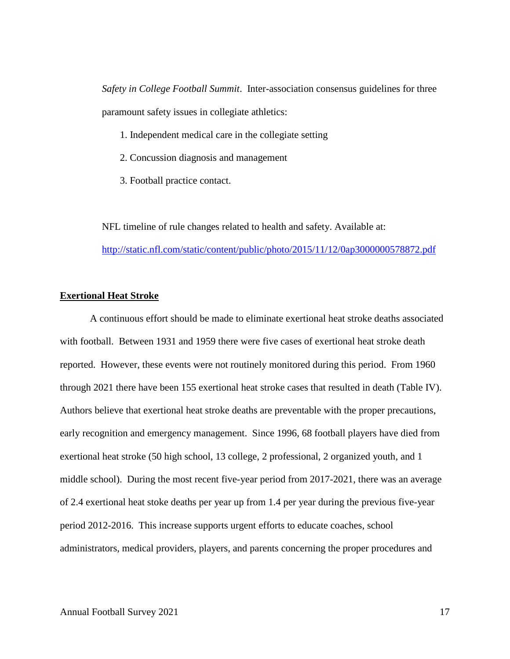*Safety in College Football Summit*. Inter-association consensus guidelines for three paramount safety issues in collegiate athletics:

- 1. Independent medical care in the collegiate setting
- 2. Concussion diagnosis and management
- 3. Football practice contact.

NFL timeline of rule changes related to health and safety. Available at: <http://static.nfl.com/static/content/public/photo/2015/11/12/0ap3000000578872.pdf>

#### <span id="page-20-0"></span>**Exertional Heat Stroke**

A continuous effort should be made to eliminate exertional heat stroke deaths associated with football. Between 1931 and 1959 there were five cases of exertional heat stroke death reported. However, these events were not routinely monitored during this period. From 1960 through 2021 there have been 155 exertional heat stroke cases that resulted in death (Table IV). Authors believe that exertional heat stroke deaths are preventable with the proper precautions, early recognition and emergency management. Since 1996, 68 football players have died from exertional heat stroke (50 high school, 13 college, 2 professional, 2 organized youth, and 1 middle school). During the most recent five-year period from 2017-2021, there was an average of 2.4 exertional heat stoke deaths per year up from 1.4 per year during the previous five-year period 2012-2016. This increase supports urgent efforts to educate coaches, school administrators, medical providers, players, and parents concerning the proper procedures and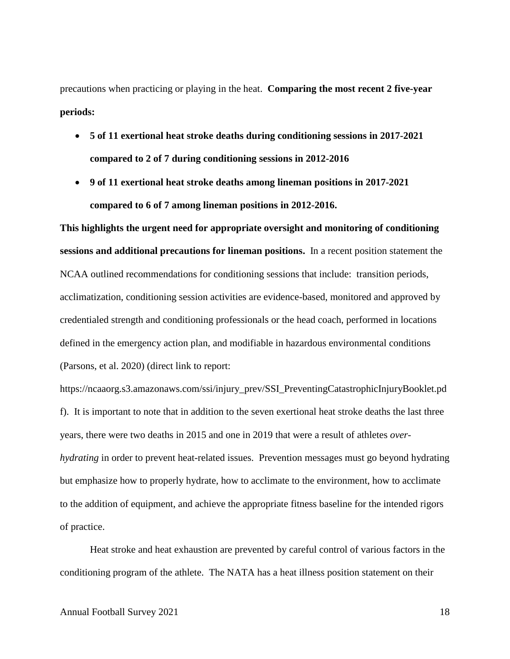precautions when practicing or playing in the heat. **Comparing the most recent 2 five-year periods:**

- **5 of 11 exertional heat stroke deaths during conditioning sessions in 2017-2021 compared to 2 of 7 during conditioning sessions in 2012-2016**
- **9 of 11 exertional heat stroke deaths among lineman positions in 2017-2021 compared to 6 of 7 among lineman positions in 2012-2016.**

**This highlights the urgent need for appropriate oversight and monitoring of conditioning sessions and additional precautions for lineman positions.** In a recent position statement the NCAA outlined recommendations for conditioning sessions that include: transition periods, acclimatization, conditioning session activities are evidence-based, monitored and approved by credentialed strength and conditioning professionals or the head coach, performed in locations defined in the emergency action plan, and modifiable in hazardous environmental conditions (Parsons, et al. 2020) (direct link to report:

https://ncaaorg.s3.amazonaws.com/ssi/injury\_prev/SSI\_PreventingCatastrophicInjuryBooklet.pd f). It is important to note that in addition to the seven exertional heat stroke deaths the last three years, there were two deaths in 2015 and one in 2019 that were a result of athletes *overhydrating* in order to prevent heat-related issues. Prevention messages must go beyond hydrating but emphasize how to properly hydrate, how to acclimate to the environment, how to acclimate to the addition of equipment, and achieve the appropriate fitness baseline for the intended rigors of practice.

Heat stroke and heat exhaustion are prevented by careful control of various factors in the conditioning program of the athlete. The NATA has a heat illness position statement on their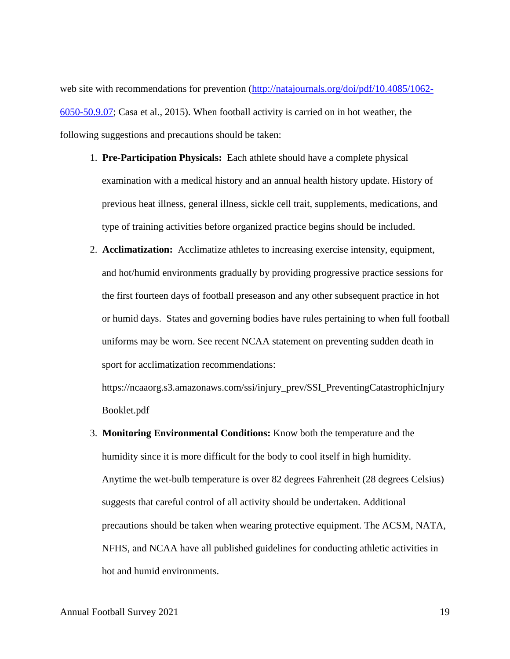web site with recommendations for prevention [\(http://natajournals.org/doi/pdf/10.4085/1062-](http://natajournals.org/doi/pdf/10.4085/1062-6050-50.9.07) [6050-50.9.07;](http://natajournals.org/doi/pdf/10.4085/1062-6050-50.9.07) Casa et al., 2015). When football activity is carried on in hot weather, the following suggestions and precautions should be taken:

- 1. **Pre-Participation Physicals:** Each athlete should have a complete physical examination with a medical history and an annual health history update. History of previous heat illness, general illness, sickle cell trait, supplements, medications, and type of training activities before organized practice begins should be included.
- 2. **Acclimatization:** Acclimatize athletes to increasing exercise intensity, equipment, and hot/humid environments gradually by providing progressive practice sessions for the first fourteen days of football preseason and any other subsequent practice in hot or humid days. States and governing bodies have rules pertaining to when full football uniforms may be worn. See recent NCAA statement on preventing sudden death in sport for acclimatization recommendations:

https://ncaaorg.s3.amazonaws.com/ssi/injury\_prev/SSI\_PreventingCatastrophicInjury Booklet.pdf

3. **Monitoring Environmental Conditions:** Know both the temperature and the humidity since it is more difficult for the body to cool itself in high humidity. Anytime the wet-bulb temperature is over 82 degrees Fahrenheit (28 degrees Celsius) suggests that careful control of all activity should be undertaken. Additional precautions should be taken when wearing protective equipment. The ACSM, NATA, NFHS, and NCAA have all published guidelines for conducting athletic activities in hot and humid environments.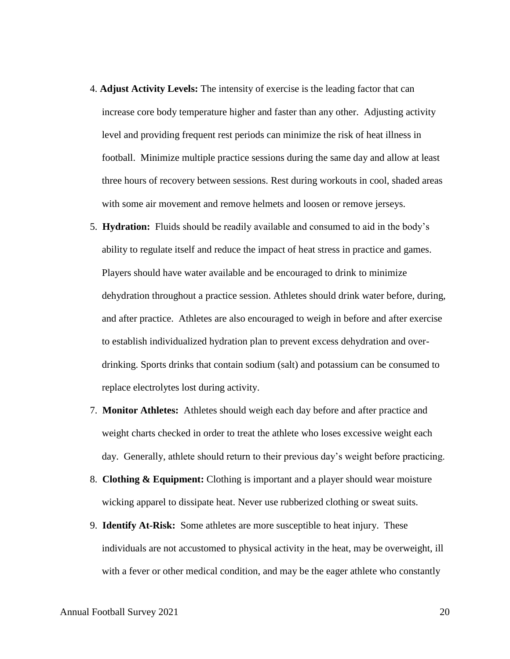- 4. **Adjust Activity Levels:** The intensity of exercise is the leading factor that can increase core body temperature higher and faster than any other. Adjusting activity level and providing frequent rest periods can minimize the risk of heat illness in football. Minimize multiple practice sessions during the same day and allow at least three hours of recovery between sessions. Rest during workouts in cool, shaded areas with some air movement and remove helmets and loosen or remove jerseys.
- 5. **Hydration:** Fluids should be readily available and consumed to aid in the body's ability to regulate itself and reduce the impact of heat stress in practice and games. Players should have water available and be encouraged to drink to minimize dehydration throughout a practice session. Athletes should drink water before, during, and after practice. Athletes are also encouraged to weigh in before and after exercise to establish individualized hydration plan to prevent excess dehydration and overdrinking. Sports drinks that contain sodium (salt) and potassium can be consumed to replace electrolytes lost during activity.
- 7. **Monitor Athletes:** Athletes should weigh each day before and after practice and weight charts checked in order to treat the athlete who loses excessive weight each day. Generally, athlete should return to their previous day's weight before practicing.
- 8. **Clothing & Equipment:** Clothing is important and a player should wear moisture wicking apparel to dissipate heat. Never use rubberized clothing or sweat suits.
- 9. **Identify At-Risk:** Some athletes are more susceptible to heat injury. These individuals are not accustomed to physical activity in the heat, may be overweight, ill with a fever or other medical condition, and may be the eager athlete who constantly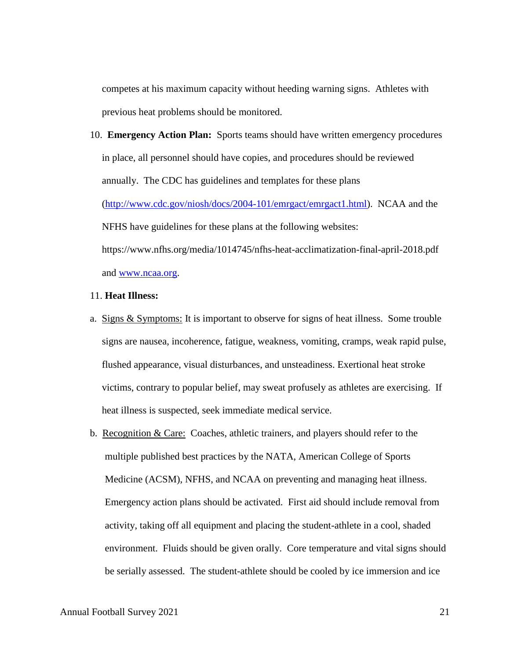competes at his maximum capacity without heeding warning signs. Athletes with previous heat problems should be monitored.

10. **Emergency Action Plan:** Sports teams should have written emergency procedures in place, all personnel should have copies, and procedures should be reviewed annually. The CDC has guidelines and templates for these plans [\(http://www.cdc.gov/niosh/docs/2004-101/emrgact/emrgact1.html\)](http://www.cdc.gov/niosh/docs/2004-101/emrgact/emrgact1.html). NCAA and the NFHS have guidelines for these plans at the following websites: https://www.nfhs.org/media/1014745/nfhs-heat-acclimatization-final-april-2018.pdf and [www.ncaa.org.](http://www.ncaa.org/)

#### 11. **Heat Illness:**

- a. Signs & Symptoms: It is important to observe for signs of heat illness. Some trouble signs are nausea, incoherence, fatigue, weakness, vomiting, cramps, weak rapid pulse, flushed appearance, visual disturbances, and unsteadiness. Exertional heat stroke victims, contrary to popular belief, may sweat profusely as athletes are exercising. If heat illness is suspected, seek immediate medical service.
- b. Recognition  $& Care: Coaches, athletic trainers, and players should refer to the$ multiple published best practices by the NATA, American College of Sports Medicine (ACSM), NFHS, and NCAA on preventing and managing heat illness. Emergency action plans should be activated. First aid should include removal from activity, taking off all equipment and placing the student-athlete in a cool, shaded environment. Fluids should be given orally. Core temperature and vital signs should be serially assessed. The student-athlete should be cooled by ice immersion and ice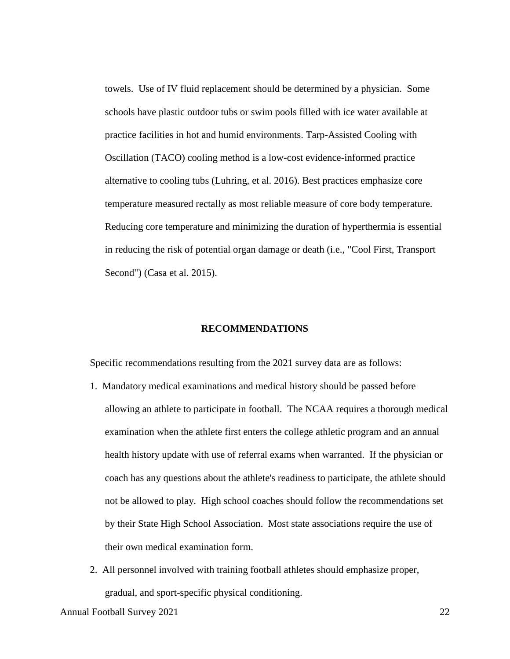towels. Use of IV fluid replacement should be determined by a physician. Some schools have plastic outdoor tubs or swim pools filled with ice water available at practice facilities in hot and humid environments. Tarp-Assisted Cooling with Oscillation (TACO) cooling method is a low-cost evidence-informed practice alternative to cooling tubs (Luhring, et al. 2016). Best practices emphasize core temperature measured rectally as most reliable measure of core body temperature. Reducing core temperature and minimizing the duration of hyperthermia is essential in reducing the risk of potential organ damage or death (i.e., "Cool First, Transport Second") (Casa et al. 2015).

#### **RECOMMENDATIONS**

<span id="page-25-0"></span>Specific recommendations resulting from the 2021 survey data are as follows:

- 1. Mandatory medical examinations and medical history should be passed before allowing an athlete to participate in football. The NCAA requires a thorough medical examination when the athlete first enters the college athletic program and an annual health history update with use of referral exams when warranted. If the physician or coach has any questions about the athlete's readiness to participate, the athlete should not be allowed to play. High school coaches should follow the recommendations set by their State High School Association. Most state associations require the use of their own medical examination form.
- 2. All personnel involved with training football athletes should emphasize proper, gradual, and sport-specific physical conditioning.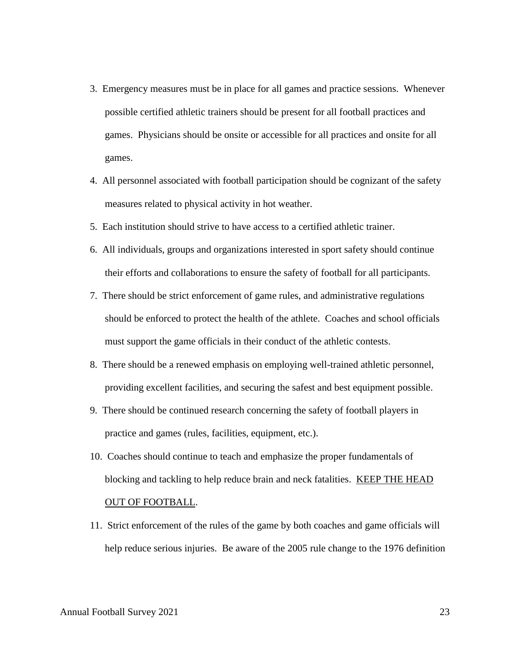- 3. Emergency measures must be in place for all games and practice sessions. Whenever possible certified athletic trainers should be present for all football practices and games. Physicians should be onsite or accessible for all practices and onsite for all games.
- 4. All personnel associated with football participation should be cognizant of the safety measures related to physical activity in hot weather.
- 5. Each institution should strive to have access to a certified athletic trainer.
- 6. All individuals, groups and organizations interested in sport safety should continue their efforts and collaborations to ensure the safety of football for all participants.
- 7. There should be strict enforcement of game rules, and administrative regulations should be enforced to protect the health of the athlete. Coaches and school officials must support the game officials in their conduct of the athletic contests.
- 8. There should be a renewed emphasis on employing well-trained athletic personnel, providing excellent facilities, and securing the safest and best equipment possible.
- 9. There should be continued research concerning the safety of football players in practice and games (rules, facilities, equipment, etc.).
- 10. Coaches should continue to teach and emphasize the proper fundamentals of blocking and tackling to help reduce brain and neck fatalities. KEEP THE HEAD OUT OF FOOTBALL.
- 11. Strict enforcement of the rules of the game by both coaches and game officials will help reduce serious injuries. Be aware of the 2005 rule change to the 1976 definition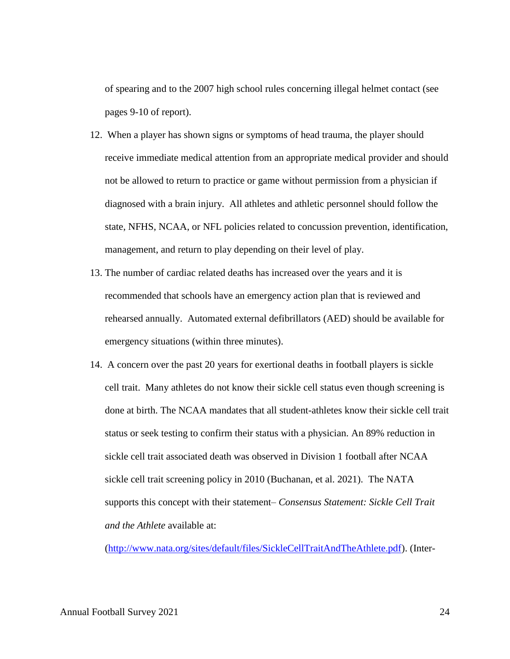of spearing and to the 2007 high school rules concerning illegal helmet contact (see pages 9-10 of report).

- 12. When a player has shown signs or symptoms of head trauma, the player should receive immediate medical attention from an appropriate medical provider and should not be allowed to return to practice or game without permission from a physician if diagnosed with a brain injury. All athletes and athletic personnel should follow the state, NFHS, NCAA, or NFL policies related to concussion prevention, identification, management, and return to play depending on their level of play.
- 13. The number of cardiac related deaths has increased over the years and it is recommended that schools have an emergency action plan that is reviewed and rehearsed annually. Automated external defibrillators (AED) should be available for emergency situations (within three minutes).
- 14. A concern over the past 20 years for exertional deaths in football players is sickle cell trait. Many athletes do not know their sickle cell status even though screening is done at birth. The NCAA mandates that all student-athletes know their sickle cell trait status or seek testing to confirm their status with a physician. An 89% reduction in sickle cell trait associated death was observed in Division 1 football after NCAA sickle cell trait screening policy in 2010 (Buchanan, et al. 2021). The NATA supports this concept with their statement– *Consensus Statement: Sickle Cell Trait and the Athlete* available at:

[\(http://www.nata.org/sites/default/files/SickleCellTraitAndTheAthlete.pdf\)](http://www.nata.org/sites/default/files/SickleCellTraitAndTheAthlete.pdf). (Inter-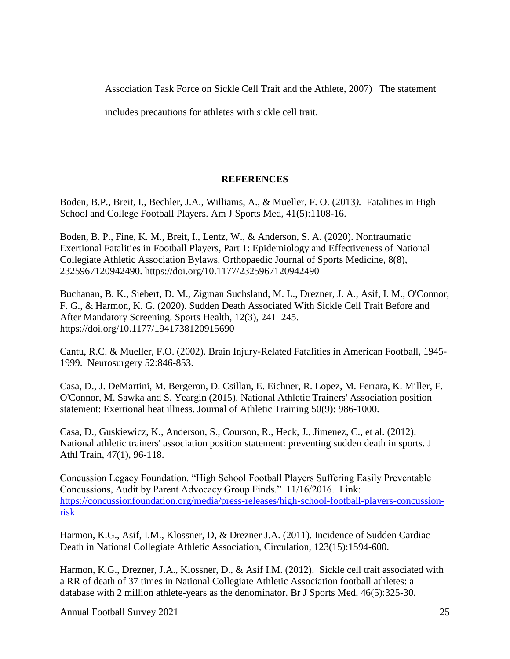Association Task Force on Sickle Cell Trait and the Athlete, 2007) The statement

includes precautions for athletes with sickle cell trait.

### **REFERENCES**

<span id="page-28-0"></span>Boden, B.P., Breit, I., Bechler, J.A., Williams, A., & Mueller, F. O. (2013*).* Fatalities in High School and College Football Players. Am J Sports Med, 41(5):1108-16.

Boden, B. P., Fine, K. M., Breit, I., Lentz, W., & Anderson, S. A. (2020). Nontraumatic Exertional Fatalities in Football Players, Part 1: Epidemiology and Effectiveness of National Collegiate Athletic Association Bylaws. Orthopaedic Journal of Sports Medicine, 8(8), 2325967120942490. https://doi.org/10.1177/2325967120942490

Buchanan, B. K., Siebert, D. M., Zigman Suchsland, M. L., Drezner, J. A., Asif, I. M., O'Connor, F. G., & Harmon, K. G. (2020). Sudden Death Associated With Sickle Cell Trait Before and After Mandatory Screening. Sports Health, 12(3), 241–245. https://doi.org/10.1177/1941738120915690

Cantu, R.C. & Mueller, F.O. (2002). Brain Injury-Related Fatalities in American Football, 1945- 1999. Neurosurgery 52:846-853.

Casa, D., J. DeMartini, M. Bergeron, D. Csillan, E. Eichner, R. Lopez, M. Ferrara, K. Miller, F. O'Connor, M. Sawka and S. Yeargin (2015). National Athletic Trainers' Association position statement: Exertional heat illness. Journal of Athletic Training 50(9): 986-1000.

Casa, D., Guskiewicz, K., Anderson, S., Courson, R., Heck, J., Jimenez, C., et al. (2012). National athletic trainers' association position statement: preventing sudden death in sports. J Athl Train, 47(1), 96-118.

Concussion Legacy Foundation. "High School Football Players Suffering Easily Preventable Concussions, Audit by Parent Advocacy Group Finds." 11/16/2016. Link: [https://concussionfoundation.org/media/press-releases/high-school-football-players-concussion](https://concussionfoundation.org/media/press-releases/high-school-football-players-concussion-risk)[risk](https://concussionfoundation.org/media/press-releases/high-school-football-players-concussion-risk)

Harmon, K.G., Asif, I.M., Klossner, D, & Drezner J.A. (2011). Incidence of Sudden Cardiac Death in National Collegiate Athletic Association, Circulation, 123(15):1594-600.

Harmon, K.G., Drezner, J.A., Klossner, D., & Asif I.M. (2012). Sickle cell trait associated with a RR of death of 37 times in National Collegiate Athletic Association football athletes: a database with 2 million athlete-years as the denominator. Br J Sports Med, 46(5):325-30.

Annual Football Survey 2021 25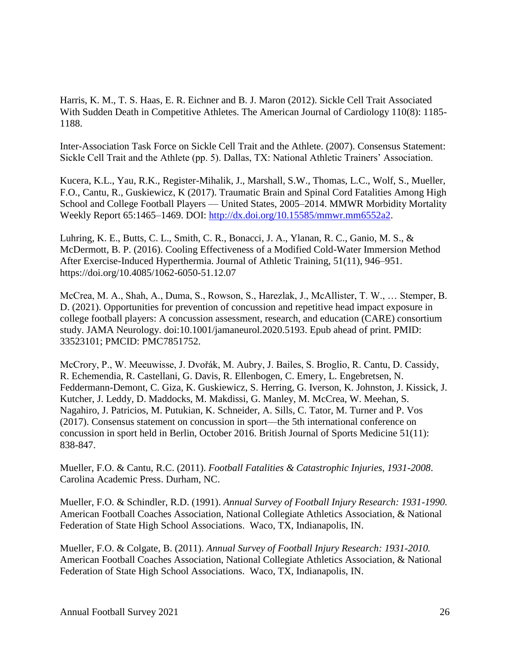Harris, K. M., T. S. Haas, E. R. Eichner and B. J. Maron (2012). Sickle Cell Trait Associated With Sudden Death in Competitive Athletes. The American Journal of Cardiology 110(8): 1185- 1188.

Inter-Association Task Force on Sickle Cell Trait and the Athlete. (2007). Consensus Statement: Sickle Cell Trait and the Athlete (pp. 5). Dallas, TX: National Athletic Trainers' Association.

Kucera, K.L., Yau, R.K., Register-Mihalik, J., Marshall, S.W., Thomas, L.C., Wolf, S., Mueller, F.O., Cantu, R., Guskiewicz, K (2017). Traumatic Brain and Spinal Cord Fatalities Among High School and College Football Players — United States, 2005–2014. MMWR Morbidity Mortality Weekly Report 65:1465–1469. DOI: [http://dx.doi.org/10.15585/mmwr.mm6552a2.](http://dx.doi.org/10.15585/mmwr.mm6552a2)

Luhring, K. E., Butts, C. L., Smith, C. R., Bonacci, J. A., Ylanan, R. C., Ganio, M. S., & McDermott, B. P. (2016). Cooling Effectiveness of a Modified Cold-Water Immersion Method After Exercise-Induced Hyperthermia. Journal of Athletic Training, 51(11), 946–951. https://doi.org/10.4085/1062-6050-51.12.07

McCrea, M. A., Shah, A., Duma, S., Rowson, S., Harezlak, J., McAllister, T. W., … Stemper, B. D. (2021). Opportunities for prevention of concussion and repetitive head impact exposure in college football players: A concussion assessment, research, and education (CARE) consortium study. JAMA Neurology. doi:10.1001/jamaneurol.2020.5193. Epub ahead of print. PMID: 33523101; PMCID: PMC7851752.

McCrory, P., W. Meeuwisse, J. Dvořák, M. Aubry, J. Bailes, S. Broglio, R. Cantu, D. Cassidy, R. Echemendia, R. Castellani, G. Davis, R. Ellenbogen, C. Emery, L. Engebretsen, N. Feddermann-Demont, C. Giza, K. Guskiewicz, S. Herring, G. Iverson, K. Johnston, J. Kissick, J. Kutcher, J. Leddy, D. Maddocks, M. Makdissi, G. Manley, M. McCrea, W. Meehan, S. Nagahiro, J. Patricios, M. Putukian, K. Schneider, A. Sills, C. Tator, M. Turner and P. Vos (2017). Consensus statement on concussion in sport—the 5th international conference on concussion in sport held in Berlin, October 2016. British Journal of Sports Medicine 51(11): 838-847.

Mueller, F.O. & Cantu, R.C. (2011). *Football Fatalities & Catastrophic Injuries, 1931-2008*. Carolina Academic Press. Durham, NC.

Mueller, F.O. & Schindler, R.D. (1991). *Annual Survey of Football Injury Research: 1931-1990.* American Football Coaches Association, National Collegiate Athletics Association, & National Federation of State High School Associations. Waco, TX, Indianapolis, IN.

Mueller, F.O. & Colgate, B. (2011). *Annual Survey of Football Injury Research: 1931-2010.* American Football Coaches Association, National Collegiate Athletics Association, & National Federation of State High School Associations. Waco, TX, Indianapolis, IN.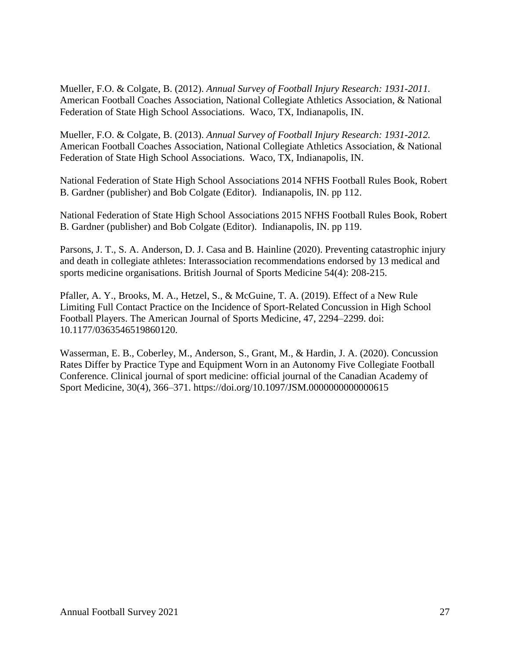Mueller, F.O. & Colgate, B. (2012). *Annual Survey of Football Injury Research: 1931-2011.* American Football Coaches Association, National Collegiate Athletics Association, & National Federation of State High School Associations. Waco, TX, Indianapolis, IN.

Mueller, F.O. & Colgate, B. (2013). *Annual Survey of Football Injury Research: 1931-2012.* American Football Coaches Association, National Collegiate Athletics Association, & National Federation of State High School Associations. Waco, TX, Indianapolis, IN.

National Federation of State High School Associations 2014 NFHS Football Rules Book, Robert B. Gardner (publisher) and Bob Colgate (Editor). Indianapolis, IN. pp 112.

National Federation of State High School Associations 2015 NFHS Football Rules Book, Robert B. Gardner (publisher) and Bob Colgate (Editor). Indianapolis, IN. pp 119.

Parsons, J. T., S. A. Anderson, D. J. Casa and B. Hainline (2020). Preventing catastrophic injury and death in collegiate athletes: Interassociation recommendations endorsed by 13 medical and sports medicine organisations. British Journal of Sports Medicine 54(4): 208-215.

Pfaller, A. Y., Brooks, M. A., Hetzel, S., & McGuine, T. A. (2019). Effect of a New Rule Limiting Full Contact Practice on the Incidence of Sport-Related Concussion in High School Football Players. The American Journal of Sports Medicine, 47, 2294–2299. doi: 10.1177/0363546519860120.

Wasserman, E. B., Coberley, M., Anderson, S., Grant, M., & Hardin, J. A. (2020). Concussion Rates Differ by Practice Type and Equipment Worn in an Autonomy Five Collegiate Football Conference. Clinical journal of sport medicine: official journal of the Canadian Academy of Sport Medicine, 30(4), 366–371. https://doi.org/10.1097/JSM.0000000000000615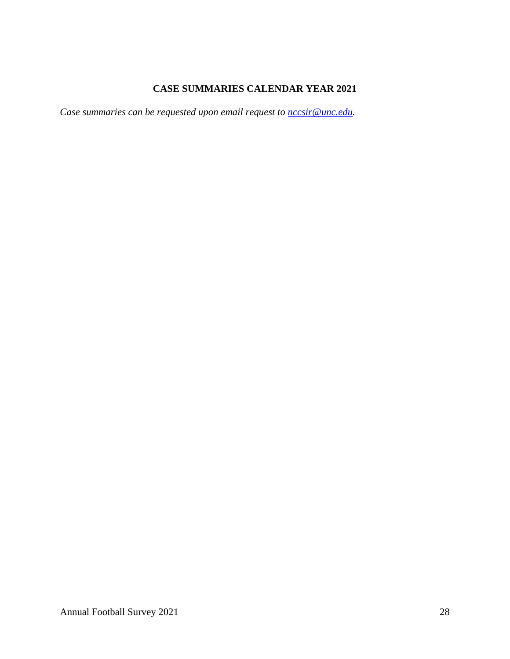# **CASE SUMMARIES CALENDAR YEAR 2021**

<span id="page-31-0"></span>*Case summaries can be requested upon email request to nccsir@unc.edu.*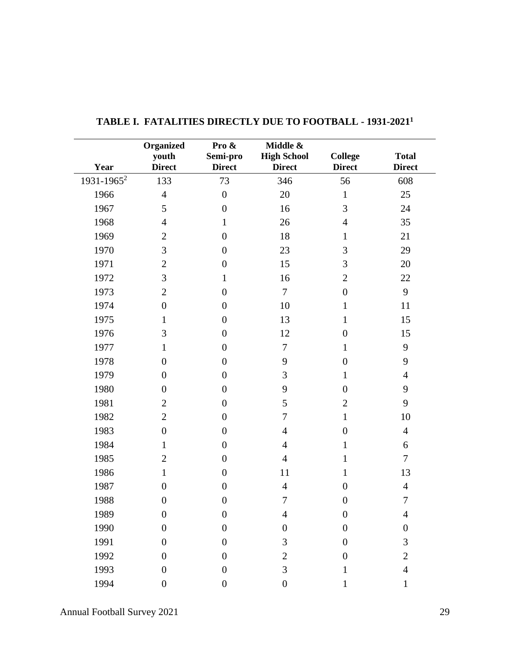| Year                   | Organized<br>youth<br><b>Direct</b> | Pro &<br>Semi-pro<br><b>Direct</b> | Middle &<br><b>High School</b><br><b>Direct</b> | <b>College</b><br><b>Direct</b> | <b>Total</b><br><b>Direct</b> |
|------------------------|-------------------------------------|------------------------------------|-------------------------------------------------|---------------------------------|-------------------------------|
| 1931-1965 <sup>2</sup> | 133                                 | 73                                 |                                                 |                                 | 608                           |
|                        |                                     |                                    | 346                                             | 56                              |                               |
| 1966                   | $\overline{4}$                      | $\boldsymbol{0}$                   | 20                                              | $\mathbf{1}$                    | 25                            |
| 1967                   | 5                                   | $\boldsymbol{0}$                   | 16                                              | 3                               | 24                            |
| 1968                   | $\overline{4}$                      | $\mathbf{1}$                       | 26                                              | $\overline{4}$                  | 35                            |
| 1969                   | $\mathbf{2}$                        | $\boldsymbol{0}$                   | 18                                              | $\mathbf{1}$                    | 21                            |
| 1970                   | 3                                   | $\boldsymbol{0}$                   | 23                                              | 3                               | 29                            |
| 1971                   | $\overline{2}$                      | $\boldsymbol{0}$                   | 15                                              | 3                               | 20                            |
| 1972                   | 3                                   | $\mathbf{1}$                       | 16                                              | $\mathbf{2}$                    | 22                            |
| 1973                   | $\overline{2}$                      | $\boldsymbol{0}$                   | $\overline{7}$                                  | $\boldsymbol{0}$                | 9                             |
| 1974                   | $\boldsymbol{0}$                    | $\boldsymbol{0}$                   | 10                                              | $\mathbf{1}$                    | 11                            |
| 1975                   | $\mathbf{1}$                        | $\boldsymbol{0}$                   | 13                                              | $\mathbf{1}$                    | 15                            |
| 1976                   | 3                                   | $\boldsymbol{0}$                   | 12                                              | $\boldsymbol{0}$                | 15                            |
| 1977                   | $\mathbf{1}$                        | $\boldsymbol{0}$                   | $\overline{7}$                                  | 1                               | 9                             |
| 1978                   | $\boldsymbol{0}$                    | $\boldsymbol{0}$                   | 9                                               | $\boldsymbol{0}$                | 9                             |
| 1979                   | $\boldsymbol{0}$                    | $\boldsymbol{0}$                   | 3                                               | $\mathbf{1}$                    | $\overline{4}$                |
| 1980                   | $\overline{0}$                      | $\boldsymbol{0}$                   | 9                                               | $\boldsymbol{0}$                | 9                             |
| 1981                   | $\overline{2}$                      | $\boldsymbol{0}$                   | 5                                               | $\overline{2}$                  | 9                             |
| 1982                   | $\overline{2}$                      | $\boldsymbol{0}$                   | $\tau$                                          | $\mathbf{1}$                    | 10                            |
| 1983                   | $\boldsymbol{0}$                    | $\boldsymbol{0}$                   | $\overline{4}$                                  | $\boldsymbol{0}$                | $\overline{4}$                |
| 1984                   | 1                                   | $\boldsymbol{0}$                   | $\overline{4}$                                  | $\mathbf{1}$                    | 6                             |
| 1985                   | $\overline{2}$                      | $\boldsymbol{0}$                   | $\overline{4}$                                  | 1                               | $\overline{7}$                |
| 1986                   | $\mathbf{1}$                        | $\boldsymbol{0}$                   | 11                                              | 1                               | 13                            |
| 1987                   | $\boldsymbol{0}$                    | $\boldsymbol{0}$                   | $\overline{4}$                                  | $\boldsymbol{0}$                | $\overline{4}$                |
| 1988                   | $\boldsymbol{0}$                    | $\boldsymbol{0}$                   | 7                                               | $\boldsymbol{0}$                | $\boldsymbol{7}$              |
| 1989                   | $\boldsymbol{0}$                    | $\overline{0}$                     | 4                                               | $\boldsymbol{0}$                | 4                             |
| 1990                   | $\overline{0}$                      | $\boldsymbol{0}$                   | $\overline{0}$                                  | $\boldsymbol{0}$                | $\boldsymbol{0}$              |
| 1991                   | $\boldsymbol{0}$                    | $\boldsymbol{0}$                   | 3                                               | $\boldsymbol{0}$                | 3                             |
| 1992                   | $\overline{0}$                      | $\boldsymbol{0}$                   | $\overline{2}$                                  | $\boldsymbol{0}$                | $\overline{2}$                |
| 1993                   | $\boldsymbol{0}$                    | $\boldsymbol{0}$                   | 3                                               | 1                               | $\overline{4}$                |
| 1994                   | $\boldsymbol{0}$                    | $\boldsymbol{0}$                   | $\boldsymbol{0}$                                | 1                               | 1                             |

<span id="page-32-0"></span>

|  |  |  |  | <b>TABLE I. FATALITIES DIRECTLY DUE TO FOOTBALL - 1931-2021<sup>1</sup></b> |
|--|--|--|--|-----------------------------------------------------------------------------|
|--|--|--|--|-----------------------------------------------------------------------------|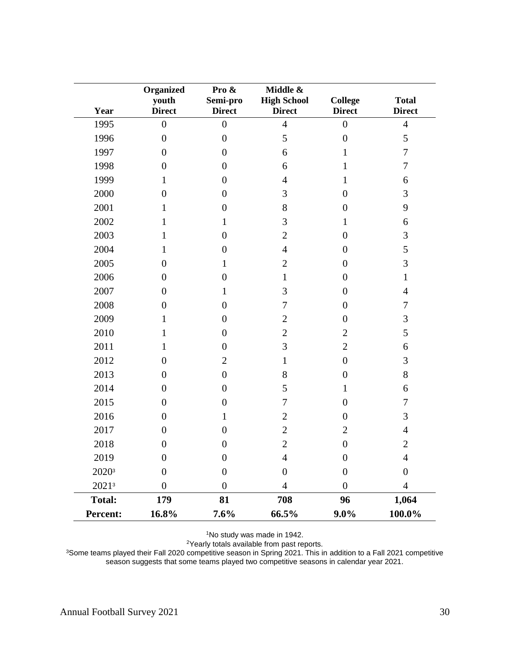| Year              | Organized<br>youth<br><b>Direct</b> | Pro &<br>Semi-pro<br><b>Direct</b> | Middle &<br><b>High School</b><br><b>Direct</b> | <b>College</b><br><b>Direct</b> | <b>Total</b><br><b>Direct</b> |
|-------------------|-------------------------------------|------------------------------------|-------------------------------------------------|---------------------------------|-------------------------------|
| 1995              | $\overline{0}$                      | $\overline{0}$                     | $\overline{4}$                                  | $\boldsymbol{0}$                | $\overline{4}$                |
| 1996              | $\boldsymbol{0}$                    | $\boldsymbol{0}$                   | 5                                               | $\overline{0}$                  | 5                             |
| 1997              | $\overline{0}$                      | $\boldsymbol{0}$                   | 6                                               | 1                               | $\boldsymbol{7}$              |
| 1998              | $\boldsymbol{0}$                    | $\boldsymbol{0}$                   | 6                                               | 1                               | $\tau$                        |
| 1999              | $\mathbf{1}$                        | $\boldsymbol{0}$                   | $\overline{4}$                                  | 1                               | 6                             |
| 2000              | $\boldsymbol{0}$                    | $\boldsymbol{0}$                   | 3                                               | $\overline{0}$                  | 3                             |
| 2001              | 1                                   | $\overline{0}$                     | 8                                               | $\overline{0}$                  | 9                             |
| 2002              | 1                                   | 1                                  | 3                                               | 1                               | 6                             |
| 2003              | 1                                   | $\overline{0}$                     | $\overline{2}$                                  | $\overline{0}$                  | 3                             |
| 2004              | 1                                   | $\overline{0}$                     | $\overline{4}$                                  | $\overline{0}$                  | 5                             |
| 2005              | $\overline{0}$                      | 1                                  | $\overline{2}$                                  | $\boldsymbol{0}$                | 3                             |
| 2006              | $\overline{0}$                      | $\boldsymbol{0}$                   | $\mathbf{1}$                                    | $\boldsymbol{0}$                | 1                             |
| 2007              | $\overline{0}$                      | 1                                  | 3                                               | $\boldsymbol{0}$                | $\overline{4}$                |
| 2008              | $\boldsymbol{0}$                    | $\boldsymbol{0}$                   | 7                                               | $\overline{0}$                  | $\tau$                        |
| 2009              | 1                                   | $\boldsymbol{0}$                   | $\overline{2}$                                  | $\boldsymbol{0}$                | 3                             |
| 2010              | 1                                   | $\boldsymbol{0}$                   | $\overline{2}$                                  | $\overline{2}$                  | 5                             |
| 2011              | 1                                   | $\boldsymbol{0}$                   | 3                                               | $\overline{2}$                  | 6                             |
| 2012              | $\boldsymbol{0}$                    | $\overline{2}$                     | $\mathbf{1}$                                    | $\boldsymbol{0}$                | 3                             |
| 2013              | $\overline{0}$                      | $\boldsymbol{0}$                   | 8                                               | $\overline{0}$                  | 8                             |
| 2014              | $\boldsymbol{0}$                    | $\boldsymbol{0}$                   | 5                                               | $\mathbf{1}$                    | 6                             |
| 2015              | $\overline{0}$                      | $\overline{0}$                     | 7                                               | $\overline{0}$                  | 7                             |
| 2016              | $\boldsymbol{0}$                    | 1                                  | $\overline{2}$                                  | $\boldsymbol{0}$                | 3                             |
| 2017              | $\boldsymbol{0}$                    | $\boldsymbol{0}$                   | $\overline{2}$                                  | $\mathbf{2}$                    | $\overline{4}$                |
| 2018              | $\overline{0}$                      | $\boldsymbol{0}$                   | $\overline{2}$                                  | $\boldsymbol{0}$                | $\overline{2}$                |
| 2019              | $\boldsymbol{0}$                    | $\boldsymbol{0}$                   | 4                                               | $\boldsymbol{0}$                | 4                             |
| 2020 <sup>3</sup> | $\overline{0}$                      | $\boldsymbol{0}$                   | $\overline{0}$                                  | $\overline{0}$                  | $\overline{0}$                |
| $2021^3$          | $\boldsymbol{0}$                    | $\boldsymbol{0}$                   | 4                                               | $\overline{0}$                  | $\overline{4}$                |
| <b>Total:</b>     | 179                                 | 81                                 | 708                                             | 96                              | 1,064                         |
| Percent:          | 16.8%                               | 7.6%                               | 66.5%                                           | $9.0\%$                         | $100.0\%$                     |

<sup>1</sup>No study was made in 1942.

<sup>2</sup>Yearly totals available from past reports.

<sup>3</sup>Some teams played their Fall 2020 competitive season in Spring 2021. This in addition to a Fall 2021 competitive season suggests that some teams played two competitive seasons in calendar year 2021.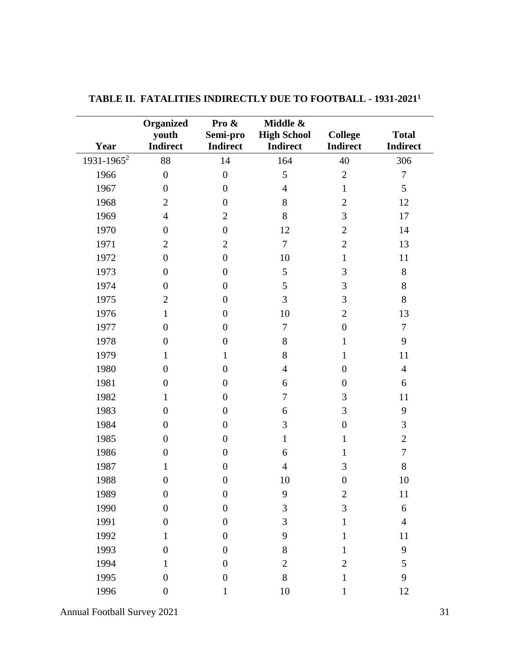|                        | Organized                | Pro &                       | Middle &                              |                                   | <b>Total</b>     |
|------------------------|--------------------------|-----------------------------|---------------------------------------|-----------------------------------|------------------|
| Year                   | youth<br><b>Indirect</b> | Semi-pro<br><b>Indirect</b> | <b>High School</b><br><b>Indirect</b> | <b>College</b><br><b>Indirect</b> | <b>Indirect</b>  |
| 1931-1965 <sup>2</sup> | 88                       | 14                          | 164                                   | 40                                | 306              |
| 1966                   | $\boldsymbol{0}$         | $\overline{0}$              | 5                                     | $\overline{2}$                    | $\overline{7}$   |
| 1967                   | $\boldsymbol{0}$         | $\boldsymbol{0}$            | $\overline{4}$                        | $\mathbf{1}$                      | 5                |
| 1968                   | $\overline{2}$           | $\boldsymbol{0}$            | 8                                     | $\overline{2}$                    | 12               |
| 1969                   | $\overline{4}$           | $\overline{2}$              | 8                                     | 3                                 | 17               |
| 1970                   | $\boldsymbol{0}$         | $\boldsymbol{0}$            | 12                                    | $\overline{2}$                    | 14               |
| 1971                   | $\overline{2}$           | $\overline{2}$              | $\overline{7}$                        | $\overline{2}$                    | 13               |
| 1972                   | $\boldsymbol{0}$         | $\boldsymbol{0}$            | 10                                    | $\mathbf{1}$                      | 11               |
| 1973                   | $\boldsymbol{0}$         | $\boldsymbol{0}$            | 5                                     | 3                                 | 8                |
| 1974                   | $\overline{0}$           | $\boldsymbol{0}$            | 5                                     | 3                                 | $8\,$            |
| 1975                   | $\overline{2}$           | $\boldsymbol{0}$            | 3                                     | 3                                 | 8                |
| 1976                   | $\mathbf{1}$             | $\boldsymbol{0}$            | 10                                    | $\overline{2}$                    | 13               |
| 1977                   | $\overline{0}$           | $\overline{0}$              | $\tau$                                | $\boldsymbol{0}$                  | $\boldsymbol{7}$ |
| 1978                   | $\overline{0}$           | $\boldsymbol{0}$            | 8                                     | $\mathbf{1}$                      | 9                |
| 1979                   | $\mathbf{1}$             | $\mathbf{1}$                | 8                                     | $\mathbf{1}$                      | 11               |
| 1980                   | $\overline{0}$           | $\boldsymbol{0}$            | $\overline{4}$                        | $\boldsymbol{0}$                  | $\overline{4}$   |
| 1981                   | $\boldsymbol{0}$         | $\boldsymbol{0}$            | 6                                     | $\boldsymbol{0}$                  | 6                |
| 1982                   | $\mathbf{1}$             | $\boldsymbol{0}$            | 7                                     | 3                                 | 11               |
| 1983                   | $\boldsymbol{0}$         | $\boldsymbol{0}$            | 6                                     | 3                                 | 9                |
| 1984                   | $\boldsymbol{0}$         | $\boldsymbol{0}$            | 3                                     | $\boldsymbol{0}$                  | 3                |
| 1985                   | $\overline{0}$           | $\boldsymbol{0}$            | $\mathbf{1}$                          | $\mathbf{1}$                      | $\mathbf{2}$     |
| 1986                   | $\boldsymbol{0}$         | $\boldsymbol{0}$            | 6                                     | $\mathbf{1}$                      | $\tau$           |
| 1987                   | $\mathbf{1}$             | $\boldsymbol{0}$            | $\overline{4}$                        | 3                                 | 8                |
| 1988                   | $\boldsymbol{0}$         | $\overline{0}$              | 10                                    | $\boldsymbol{0}$                  | 10               |
| 1989                   | $\boldsymbol{0}$         | $\boldsymbol{0}$            | 9                                     | $\overline{2}$                    | 11               |
| 1990                   | $\boldsymbol{0}$         | $\boldsymbol{0}$            | 3                                     | 3                                 | 6                |
| 1991                   | $\boldsymbol{0}$         | $\boldsymbol{0}$            | 3                                     | 1                                 | $\overline{4}$   |
| 1992                   | $\mathbf{1}$             | $\boldsymbol{0}$            | 9                                     | 1                                 | 11               |
| 1993                   | $\boldsymbol{0}$         | $\boldsymbol{0}$            | $8\,$                                 | $\mathbf{1}$                      | 9                |
| 1994                   | $\mathbf{1}$             | $\boldsymbol{0}$            | $\mathfrak{2}$                        | $\overline{2}$                    | 5                |
| 1995                   | $\boldsymbol{0}$         | $\boldsymbol{0}$            | 8                                     | $\mathbf{1}$                      | 9                |
| 1996                   | $\boldsymbol{0}$         | 1                           | 10                                    | $\mathbf{1}$                      | 12               |

<span id="page-34-0"></span>**TABLE II. FATALITIES INDIRECTLY DUE TO FOOTBALL - 1931-2021 1**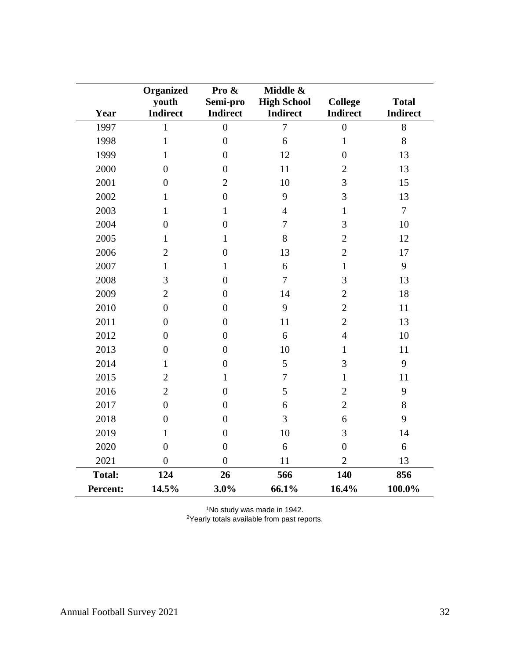| Year            | <b>Organized</b><br>youth<br><b>Indirect</b> | Pro &<br>Semi-pro<br><b>Indirect</b> | Middle &<br><b>High School</b><br><b>Indirect</b> | <b>College</b><br><b>Indirect</b> | <b>Total</b><br><b>Indirect</b> |
|-----------------|----------------------------------------------|--------------------------------------|---------------------------------------------------|-----------------------------------|---------------------------------|
| 1997            | 1                                            | $\overline{0}$                       | $\overline{7}$                                    | $\overline{0}$                    | 8                               |
| 1998            | $\mathbf{1}$                                 | $\overline{0}$                       | 6                                                 | $\mathbf{1}$                      | 8                               |
| 1999            | $\mathbf{1}$                                 | $\overline{0}$                       | 12                                                | $\overline{0}$                    | 13                              |
| 2000            | $\overline{0}$                               | $\boldsymbol{0}$                     | 11                                                | $\overline{2}$                    | 13                              |
| 2001            | $\overline{0}$                               | $\overline{2}$                       | 10                                                | 3                                 | 15                              |
| 2002            | $\mathbf{1}$                                 | $\boldsymbol{0}$                     | 9                                                 | 3                                 | 13                              |
| 2003            | $\mathbf{1}$                                 | $\mathbf{1}$                         | $\overline{4}$                                    | $\mathbf{1}$                      | $\overline{7}$                  |
| 2004            | $\overline{0}$                               | $\overline{0}$                       | $\overline{7}$                                    | $\overline{3}$                    | 10                              |
| 2005            | $\mathbf{1}$                                 | $\mathbf{1}$                         | 8                                                 | $\overline{2}$                    | 12                              |
| 2006            | $\overline{2}$                               | $\overline{0}$                       | 13                                                | $\overline{2}$                    | 17                              |
| 2007            | $\mathbf{1}$                                 | $\mathbf{1}$                         | 6                                                 | $\mathbf{1}$                      | 9                               |
| 2008            | 3                                            | $\overline{0}$                       | $\overline{7}$                                    | 3                                 | 13                              |
| 2009            | $\overline{2}$                               | $\boldsymbol{0}$                     | 14                                                | $\overline{2}$                    | 18                              |
| 2010            | $\overline{0}$                               | $\overline{0}$                       | 9                                                 | $\overline{2}$                    | 11                              |
| 2011            | $\boldsymbol{0}$                             | $\overline{0}$                       | 11                                                | $\overline{2}$                    | 13                              |
| 2012            | $\overline{0}$                               | $\overline{0}$                       | 6                                                 | $\overline{4}$                    | 10                              |
| 2013            | $\overline{0}$                               | $\overline{0}$                       | 10                                                | $\mathbf{1}$                      | 11                              |
| 2014            | $\mathbf{1}$                                 | $\boldsymbol{0}$                     | 5                                                 | 3                                 | 9                               |
| 2015            | $\overline{2}$                               | $\mathbf{1}$                         | $\overline{7}$                                    | $\mathbf{1}$                      | 11                              |
| 2016            | $\overline{2}$                               | $\overline{0}$                       | 5                                                 | $\overline{2}$                    | 9                               |
| 2017            | $\overline{0}$                               | $\overline{0}$                       | 6                                                 | $\overline{2}$                    | 8                               |
| 2018            | $\overline{0}$                               | $\overline{0}$                       | 3                                                 | 6                                 | 9                               |
| 2019            | $\mathbf{1}$                                 | $\overline{0}$                       | 10                                                | 3                                 | 14                              |
| 2020            | $\boldsymbol{0}$                             | $\boldsymbol{0}$                     | 6                                                 | $\boldsymbol{0}$                  | 6                               |
| 2021            | $\overline{0}$                               | $\overline{0}$                       | 11                                                | $\overline{2}$                    | 13                              |
| <b>Total:</b>   | 124                                          | 26                                   | 566                                               | 140                               | 856                             |
| <b>Percent:</b> | 14.5%                                        | 3.0%                                 | 66.1%                                             | 16.4%                             | 100.0%                          |

<sup>1</sup>No study was made in 1942.

2Yearly totals available from past reports.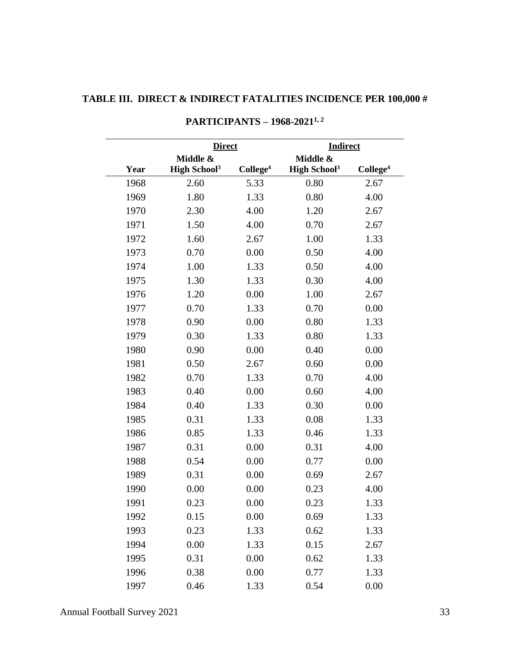# <span id="page-36-0"></span>**TABLE III. DIRECT & INDIRECT FATALITIES INCIDENCE PER 100,000 #**

|      |                                 | <b>Direct</b>        |                                 | <b>Indirect</b>      |  |
|------|---------------------------------|----------------------|---------------------------------|----------------------|--|
|      | Middle &                        |                      | Middle &                        |                      |  |
| Year | <b>High School</b> <sup>3</sup> | College <sup>4</sup> | <b>High School</b> <sup>3</sup> | College <sup>4</sup> |  |
| 1968 | 2.60                            | 5.33                 | 0.80                            | 2.67                 |  |
| 1969 | 1.80                            | 1.33                 | 0.80                            | 4.00                 |  |
| 1970 | 2.30                            | 4.00                 | 1.20                            | 2.67                 |  |
| 1971 | 1.50                            | 4.00                 | 0.70                            | 2.67                 |  |
| 1972 | 1.60                            | 2.67                 | 1.00                            | 1.33                 |  |
| 1973 | 0.70                            | 0.00                 | 0.50                            | 4.00                 |  |
| 1974 | 1.00                            | 1.33                 | 0.50                            | 4.00                 |  |
| 1975 | 1.30                            | 1.33                 | 0.30                            | 4.00                 |  |
| 1976 | 1.20                            | 0.00                 | 1.00                            | 2.67                 |  |
| 1977 | 0.70                            | 1.33                 | 0.70                            | 0.00                 |  |
| 1978 | 0.90                            | 0.00                 | 0.80                            | 1.33                 |  |
| 1979 | 0.30                            | 1.33                 | 0.80                            | 1.33                 |  |
| 1980 | 0.90                            | 0.00                 | 0.40                            | 0.00                 |  |
| 1981 | 0.50                            | 2.67                 | 0.60                            | 0.00                 |  |
| 1982 | 0.70                            | 1.33                 | 0.70                            | 4.00                 |  |
| 1983 | 0.40                            | 0.00                 | 0.60                            | 4.00                 |  |
| 1984 | 0.40                            | 1.33                 | 0.30                            | 0.00                 |  |
| 1985 | 0.31                            | 1.33                 | 0.08                            | 1.33                 |  |
| 1986 | 0.85                            | 1.33                 | 0.46                            | 1.33                 |  |
| 1987 | 0.31                            | 0.00                 | 0.31                            | 4.00                 |  |
| 1988 | 0.54                            | 0.00                 | 0.77                            | 0.00                 |  |
| 1989 | 0.31                            | 0.00                 | 0.69                            | 2.67                 |  |
| 1990 | 0.00                            | 0.00                 | 0.23                            | 4.00                 |  |
| 1991 | 0.23                            | 0.00                 | 0.23                            | 1.33                 |  |
| 1992 | 0.15                            | 0.00                 | 0.69                            | 1.33                 |  |
| 1993 | 0.23                            | 1.33                 | 0.62                            | 1.33                 |  |
| 1994 | 0.00                            | 1.33                 | 0.15                            | 2.67                 |  |
| 1995 | 0.31                            | 0.00                 | 0.62                            | 1.33                 |  |
| 1996 | 0.38                            | 0.00                 | 0.77                            | 1.33                 |  |
| 1997 | 0.46                            | 1.33                 | 0.54                            | 0.00                 |  |

### **PARTICIPANTS – 1968-2021 1, 2**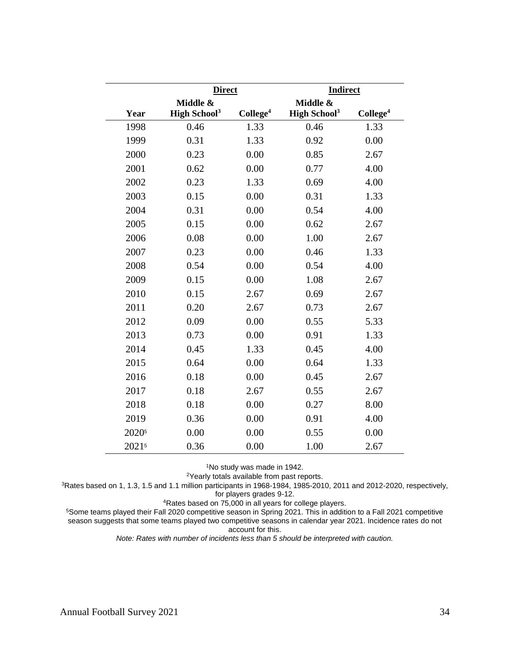|                   | <b>Direct</b>                   |                      | <b>Indirect</b>                 |                      |
|-------------------|---------------------------------|----------------------|---------------------------------|----------------------|
|                   | Middle &                        |                      | Middle &                        |                      |
| Year              | <b>High School</b> <sup>3</sup> | College <sup>4</sup> | <b>High School</b> <sup>3</sup> | College <sup>4</sup> |
| 1998              | 0.46                            | 1.33                 | 0.46                            | 1.33                 |
| 1999              | 0.31                            | 1.33                 | 0.92                            | 0.00                 |
| 2000              | 0.23                            | 0.00                 | 0.85                            | 2.67                 |
| 2001              | 0.62                            | 0.00                 | 0.77                            | 4.00                 |
| 2002              | 0.23                            | 1.33                 | 0.69                            | 4.00                 |
| 2003              | 0.15                            | 0.00                 | 0.31                            | 1.33                 |
| 2004              | 0.31                            | 0.00                 | 0.54                            | 4.00                 |
| 2005              | 0.15                            | 0.00                 | 0.62                            | 2.67                 |
| 2006              | 0.08                            | 0.00                 | 1.00                            | 2.67                 |
| 2007              | 0.23                            | 0.00                 | 0.46                            | 1.33                 |
| 2008              | 0.54                            | 0.00                 | 0.54                            | 4.00                 |
| 2009              | 0.15                            | 0.00                 | 1.08                            | 2.67                 |
| 2010              | 0.15                            | 2.67                 | 0.69                            | 2.67                 |
| 2011              | 0.20                            | 2.67                 | 0.73                            | 2.67                 |
| 2012              | 0.09                            | 0.00                 | 0.55                            | 5.33                 |
| 2013              | 0.73                            | 0.00                 | 0.91                            | 1.33                 |
| 2014              | 0.45                            | 1.33                 | 0.45                            | 4.00                 |
| 2015              | 0.64                            | 0.00                 | 0.64                            | 1.33                 |
| 2016              | 0.18                            | 0.00                 | 0.45                            | 2.67                 |
| 2017              | 0.18                            | 2.67                 | 0.55                            | 2.67                 |
| 2018              | 0.18                            | 0.00                 | 0.27                            | 8.00                 |
| 2019              | 0.36                            | 0.00                 | 0.91                            | 4.00                 |
| 2020 <sup>5</sup> | 0.00                            | 0.00                 | 0.55                            | 0.00                 |
| 20215             | 0.36                            | 0.00                 | 1.00                            | 2.67                 |

No study was made in 1942.

Yearly totals available from past reports.

Rates based on 1, 1.3, 1.5 and 1.1 million participants in 1968-1984, 1985-2010, 2011 and 2012-2020, respectively, for players grades 9-12.

Rates based on 75,000 in all years for college players.

Some teams played their Fall 2020 competitive season in Spring 2021. This in addition to a Fall 2021 competitive season suggests that some teams played two competitive seasons in calendar year 2021. Incidence rates do not account for this.

*Note: Rates with number of incidents less than 5 should be interpreted with caution.*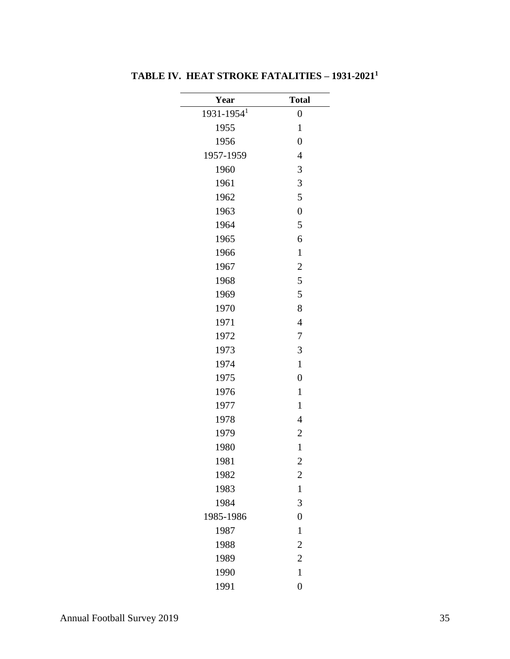| Year                       | <b>Total</b>     |
|----------------------------|------------------|
| $1931 - 1954$ <sup>1</sup> | $\boldsymbol{0}$ |
| 1955                       | $\mathbf{1}$     |
| 1956                       | $\overline{0}$   |
| 1957-1959                  | $\overline{4}$   |
| 1960                       | 3                |
| 1961                       | 3                |
| 1962                       | 5                |
| 1963                       | $\overline{0}$   |
| 1964                       | 5                |
| 1965                       | 6                |
| 1966                       | $\mathbf{1}$     |
| 1967                       | $\overline{c}$   |
| 1968                       | 5                |
| 1969                       | 5                |
| 1970                       | 8                |
| 1971                       | $\overline{4}$   |
| 1972                       | 7                |
| 1973                       | 3                |
| 1974                       | $\mathbf{1}$     |
| 1975                       | $\overline{0}$   |
| 1976                       | $\mathbf{1}$     |
| 1977                       | $\mathbf{1}$     |
| 1978                       | $\overline{4}$   |
| 1979                       | $\overline{c}$   |
| 1980                       | $\mathbf{1}$     |
| 1981                       | $\overline{2}$   |
| 1982                       | $\overline{c}$   |
| 1983                       | $\mathbf{1}$     |
| 1984                       | 3                |
| 1985-1986                  | $\overline{0}$   |
| 1987                       | $\mathbf{1}$     |
| 1988                       | $\overline{c}$   |
| 1989                       | $\overline{c}$   |
| 1990                       | $\mathbf{1}$     |
| 1991                       | $\overline{0}$   |

<span id="page-38-0"></span>**TABLE IV. HEAT STROKE FATALITIES – 1931-2021 1**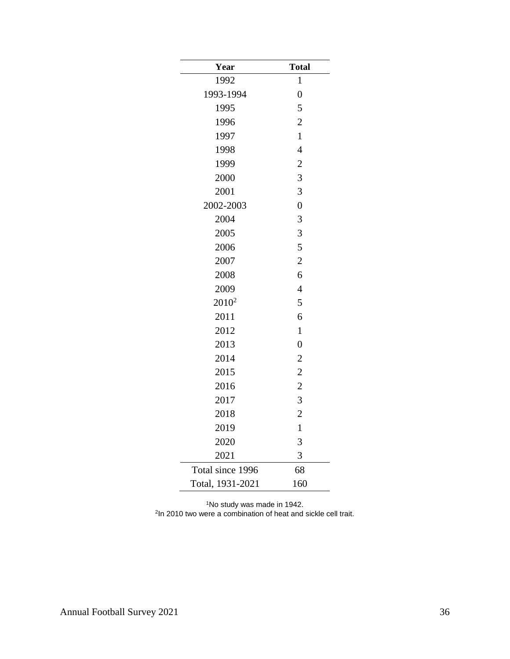| Year             | <b>Total</b>   |
|------------------|----------------|
| 1992             | $\mathbf{1}$   |
| 1993-1994        | $\overline{0}$ |
| 1995             | 5              |
| 1996             | $\overline{c}$ |
| 1997             | $\mathbf{1}$   |
| 1998             | $\overline{4}$ |
| 1999             | $\overline{c}$ |
| 2000             | 3              |
| 2001             | 3              |
| 2002-2003        | $\overline{0}$ |
| 2004             | 3              |
| 2005             | 3              |
| 2006             | 5              |
| 2007             | $\overline{c}$ |
| 2008             | 6              |
| 2009             | $\overline{4}$ |
| $2010^2$         | 5              |
| 2011             | 6              |
| 2012             | $\mathbf{1}$   |
| 2013             | $\overline{0}$ |
| 2014             | $\overline{c}$ |
| 2015             | $\overline{c}$ |
| 2016             | $\overline{c}$ |
| 2017             | 3              |
| 2018             | $\overline{2}$ |
| 2019             | $\mathbf{1}$   |
| 2020             | 3              |
| 2021             | 3              |
| Total since 1996 | 68             |
| Total, 1931-2021 | 160            |

<sup>1</sup>No study was made in 1942. In 2010 two were a combination of heat and sickle cell trait.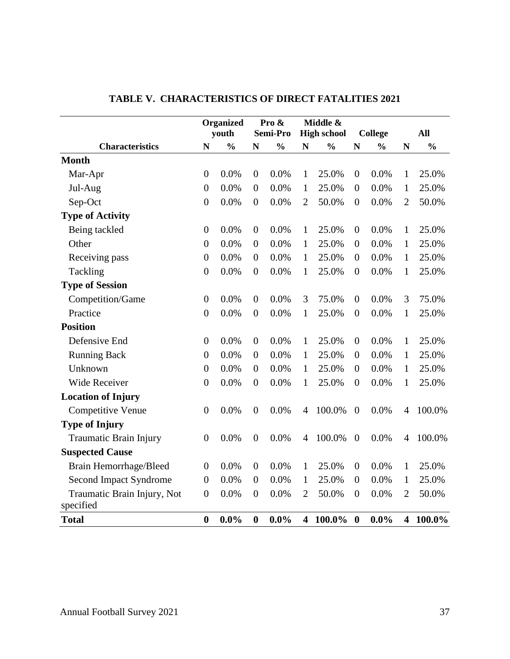<span id="page-40-0"></span>

|                                          |                  | <b>Organized</b> |                  | Pro &<br>Semi-Pro |                         | Middle &           |                  |                |                |               |
|------------------------------------------|------------------|------------------|------------------|-------------------|-------------------------|--------------------|------------------|----------------|----------------|---------------|
|                                          |                  | youth            |                  |                   |                         | <b>High school</b> |                  | <b>College</b> |                | <b>All</b>    |
| <b>Characteristics</b>                   | $\mathbf N$      | $\frac{0}{0}$    | N                | $\frac{0}{0}$     | N                       | $\frac{0}{0}$      | N                | $\frac{0}{0}$  | $\mathbf N$    | $\frac{0}{0}$ |
| <b>Month</b>                             |                  |                  |                  |                   |                         |                    |                  |                |                |               |
| Mar-Apr                                  | $\overline{0}$   | 0.0%             | $\theta$         | 0.0%              | $\mathbf{1}$            | 25.0%              | $\overline{0}$   | 0.0%           | $\mathbf{1}$   | 25.0%         |
| Jul-Aug                                  | $\overline{0}$   | 0.0%             | $\overline{0}$   | 0.0%              | 1                       | 25.0%              | $\theta$         | 0.0%           | 1              | 25.0%         |
| Sep-Oct                                  | $\boldsymbol{0}$ | 0.0%             | $\boldsymbol{0}$ | 0.0%              | $\overline{2}$          | 50.0%              | $\boldsymbol{0}$ | 0.0%           | $\overline{2}$ | 50.0%         |
| <b>Type of Activity</b>                  |                  |                  |                  |                   |                         |                    |                  |                |                |               |
| Being tackled                            | $\boldsymbol{0}$ | 0.0%             | $\boldsymbol{0}$ | 0.0%              | $\mathbf{1}$            | 25.0%              | $\boldsymbol{0}$ | 0.0%           | 1              | 25.0%         |
| Other                                    | $\boldsymbol{0}$ | 0.0%             | $\boldsymbol{0}$ | 0.0%              | $\mathbf{1}$            | 25.0%              | $\boldsymbol{0}$ | 0.0%           | 1              | 25.0%         |
| Receiving pass                           | $\boldsymbol{0}$ | 0.0%             | $\mathbf{0}$     | 0.0%              | $\mathbf{1}$            | 25.0%              | $\overline{0}$   | 0.0%           | 1              | 25.0%         |
| Tackling                                 | $\boldsymbol{0}$ | 0.0%             | $\theta$         | 0.0%              | $\mathbf{1}$            | 25.0%              | $\theta$         | 0.0%           | $\mathbf{1}$   | 25.0%         |
| <b>Type of Session</b>                   |                  |                  |                  |                   |                         |                    |                  |                |                |               |
| Competition/Game                         | $\boldsymbol{0}$ | 0.0%             | $\theta$         | 0.0%              | 3                       | 75.0%              | $\theta$         | 0.0%           | 3              | 75.0%         |
| Practice                                 | $\overline{0}$   | 0.0%             | $\overline{0}$   | 0.0%              | 1                       | 25.0%              | $\overline{0}$   | 0.0%           | 1              | 25.0%         |
| <b>Position</b>                          |                  |                  |                  |                   |                         |                    |                  |                |                |               |
| Defensive End                            | $\boldsymbol{0}$ | 0.0%             | $\overline{0}$   | 0.0%              | 1                       | 25.0%              | $\overline{0}$   | 0.0%           | 1              | 25.0%         |
| <b>Running Back</b>                      | $\overline{0}$   | 0.0%             | $\theta$         | 0.0%              | $\mathbf{1}$            | 25.0%              | $\theta$         | 0.0%           | $\mathbf{1}$   | 25.0%         |
| Unknown                                  | $\overline{0}$   | 0.0%             | $\theta$         | 0.0%              | $\mathbf{1}$            | 25.0%              | $\theta$         | 0.0%           | 1              | 25.0%         |
| <b>Wide Receiver</b>                     | $\boldsymbol{0}$ | 0.0%             | $\boldsymbol{0}$ | 0.0%              | 1                       | 25.0%              | $\boldsymbol{0}$ | 0.0%           | $\mathbf{1}$   | 25.0%         |
| <b>Location of Injury</b>                |                  |                  |                  |                   |                         |                    |                  |                |                |               |
| <b>Competitive Venue</b>                 | $\boldsymbol{0}$ | 0.0%             | $\boldsymbol{0}$ | 0.0%              | 4                       | 100.0%             | $\boldsymbol{0}$ | 0.0%           | $\overline{4}$ | 100.0%        |
| <b>Type of Injury</b>                    |                  |                  |                  |                   |                         |                    |                  |                |                |               |
| Traumatic Brain Injury                   | $\overline{0}$   | 0.0%             | $\boldsymbol{0}$ | 0.0%              | 4                       | 100.0%             | $\boldsymbol{0}$ | 0.0%           | 4              | 100.0%        |
| <b>Suspected Cause</b>                   |                  |                  |                  |                   |                         |                    |                  |                |                |               |
| Brain Hemorrhage/Bleed                   | $\boldsymbol{0}$ | 0.0%             | $\boldsymbol{0}$ | 0.0%              | $\mathbf{1}$            | 25.0%              | $\theta$         | 0.0%           | 1              | 25.0%         |
| Second Impact Syndrome                   | $\boldsymbol{0}$ | 0.0%             | $\boldsymbol{0}$ | 0.0%              | $\mathbf{1}$            | 25.0%              | $\theta$         | 0.0%           | $\mathbf{1}$   | 25.0%         |
| Traumatic Brain Injury, Not<br>specified | $\boldsymbol{0}$ | 0.0%             | $\theta$         | 0.0%              | $\overline{2}$          | 50.0%              | $\theta$         | 0.0%           | $\overline{2}$ | 50.0%         |
| <b>Total</b>                             | $\bf{0}$         | $0.0\%$          | $\boldsymbol{0}$ | $0.0\%$           | $\overline{\mathbf{4}}$ | $100.0\%$          | $\boldsymbol{0}$ | $0.0\%$        |                | 4 100.0%      |

# **TABLE V. CHARACTERISTICS OF DIRECT FATALITIES 2021**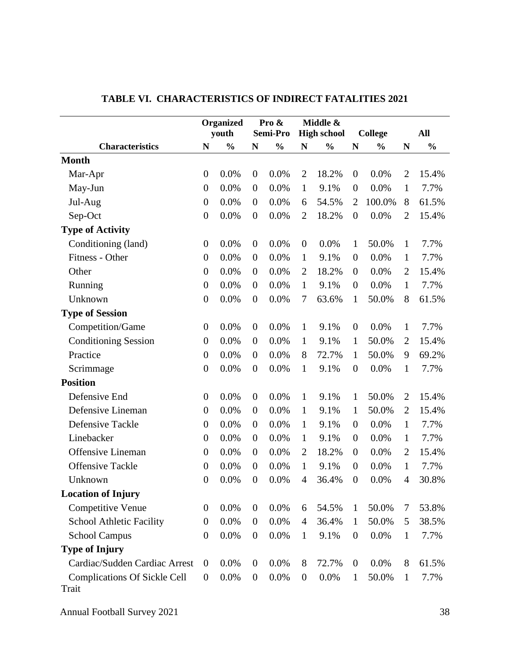<span id="page-41-0"></span>

|                                              | <b>Organized</b><br>youth |               | Pro &<br>Semi-Pro |               | Middle &<br><b>High school</b> |               | <b>College</b>   |               |                | <b>All</b>    |
|----------------------------------------------|---------------------------|---------------|-------------------|---------------|--------------------------------|---------------|------------------|---------------|----------------|---------------|
| <b>Characteristics</b>                       | ${\bf N}$                 | $\frac{0}{0}$ | N                 | $\frac{0}{0}$ | N                              | $\frac{0}{0}$ | N                | $\frac{0}{0}$ | N              | $\frac{0}{0}$ |
| <b>Month</b>                                 |                           |               |                   |               |                                |               |                  |               |                |               |
| Mar-Apr                                      | $\boldsymbol{0}$          | 0.0%          | $\boldsymbol{0}$  | 0.0%          | $\overline{2}$                 | 18.2%         | $\boldsymbol{0}$ | 0.0%          | $\overline{2}$ | 15.4%         |
| May-Jun                                      | $\boldsymbol{0}$          | 0.0%          | $\theta$          | 0.0%          | $\mathbf{1}$                   | 9.1%          | $\boldsymbol{0}$ | 0.0%          | $\mathbf{1}$   | 7.7%          |
| Jul-Aug                                      | $\boldsymbol{0}$          | 0.0%          | $\theta$          | 0.0%          | 6                              | 54.5%         | $\overline{2}$   | 100.0%        | 8              | 61.5%         |
| Sep-Oct                                      | $\boldsymbol{0}$          | 0.0%          | $\boldsymbol{0}$  | 0.0%          | $\overline{2}$                 | 18.2%         | $\boldsymbol{0}$ | 0.0%          | $\overline{2}$ | 15.4%         |
| <b>Type of Activity</b>                      |                           |               |                   |               |                                |               |                  |               |                |               |
| Conditioning (land)                          | $\boldsymbol{0}$          | 0.0%          | $\boldsymbol{0}$  | 0.0%          | $\theta$                       | 0.0%          | $\mathbf{1}$     | 50.0%         | $\mathbf{1}$   | 7.7%          |
| Fitness - Other                              | $\boldsymbol{0}$          | 0.0%          | $\boldsymbol{0}$  | 0.0%          | $\mathbf{1}$                   | 9.1%          | $\theta$         | 0.0%          | $\mathbf{1}$   | 7.7%          |
| Other                                        | $\boldsymbol{0}$          | 0.0%          | $\boldsymbol{0}$  | 0.0%          | $\overline{2}$                 | 18.2%         | $\boldsymbol{0}$ | 0.0%          | $\overline{2}$ | 15.4%         |
| Running                                      | $\boldsymbol{0}$          | 0.0%          | $\theta$          | 0.0%          | $\mathbf{1}$                   | 9.1%          | $\boldsymbol{0}$ | 0.0%          | $\mathbf{1}$   | 7.7%          |
| Unknown                                      | $\boldsymbol{0}$          | 0.0%          | $\boldsymbol{0}$  | 0.0%          | 7                              | 63.6%         | $\mathbf{1}$     | 50.0%         | 8              | 61.5%         |
| <b>Type of Session</b>                       |                           |               |                   |               |                                |               |                  |               |                |               |
| Competition/Game                             | $\boldsymbol{0}$          | 0.0%          | $\boldsymbol{0}$  | 0.0%          | $\mathbf{1}$                   | 9.1%          | $\overline{0}$   | 0.0%          | $\mathbf{1}$   | 7.7%          |
| <b>Conditioning Session</b>                  | $\boldsymbol{0}$          | 0.0%          | $\theta$          | 0.0%          | $\mathbf{1}$                   | 9.1%          | $\mathbf{1}$     | 50.0%         | $\overline{2}$ | 15.4%         |
| Practice                                     | $\boldsymbol{0}$          | 0.0%          | $\theta$          | 0.0%          | 8                              | 72.7%         | $\mathbf{1}$     | 50.0%         | 9              | 69.2%         |
| Scrimmage                                    | $\boldsymbol{0}$          | 0.0%          | $\boldsymbol{0}$  | 0.0%          | $\mathbf{1}$                   | 9.1%          | $\boldsymbol{0}$ | 0.0%          | $\mathbf{1}$   | 7.7%          |
| <b>Position</b>                              |                           |               |                   |               |                                |               |                  |               |                |               |
| Defensive End                                | $\boldsymbol{0}$          | 0.0%          | $\boldsymbol{0}$  | 0.0%          | $\mathbf{1}$                   | 9.1%          | $\mathbf{1}$     | 50.0%         | $\overline{2}$ | 15.4%         |
| Defensive Lineman                            | $\boldsymbol{0}$          | 0.0%          | $\overline{0}$    | 0.0%          | $\mathbf{1}$                   | 9.1%          | $\mathbf{1}$     | 50.0%         | $\overline{2}$ | 15.4%         |
| Defensive Tackle                             | $\boldsymbol{0}$          | 0.0%          | $\boldsymbol{0}$  | 0.0%          | $\mathbf{1}$                   | 9.1%          | $\boldsymbol{0}$ | 0.0%          | $\mathbf{1}$   | 7.7%          |
| Linebacker                                   | $\boldsymbol{0}$          | 0.0%          | $\theta$          | 0.0%          | $\mathbf{1}$                   | 9.1%          | $\boldsymbol{0}$ | 0.0%          | $\mathbf{1}$   | 7.7%          |
| <b>Offensive Lineman</b>                     | $\boldsymbol{0}$          | 0.0%          | $\boldsymbol{0}$  | 0.0%          | $\overline{2}$                 | 18.2%         | $\boldsymbol{0}$ | 0.0%          | $\overline{2}$ | 15.4%         |
| <b>Offensive Tackle</b>                      | $\boldsymbol{0}$          | 0.0%          | $\boldsymbol{0}$  | 0.0%          | $\mathbf{1}$                   | 9.1%          | $\boldsymbol{0}$ | 0.0%          | $\mathbf{1}$   | 7.7%          |
| Unknown                                      | $\overline{0}$            | 0.0%          | $\theta$          | 0.0%          | $\overline{4}$                 | 36.4%         | $\boldsymbol{0}$ | 0.0%          | 4              | 30.8%         |
| <b>Location of Injury</b>                    |                           |               |                   |               |                                |               |                  |               |                |               |
| <b>Competitive Venue</b>                     | $\boldsymbol{0}$          | 0.0%          | $\boldsymbol{0}$  | 0.0%          | 6                              | 54.5%         | $\mathbf{1}$     | 50.0%         | 7              | 53.8%         |
| School Athletic Facility                     | $\boldsymbol{0}$          | 0.0%          | $\boldsymbol{0}$  | 0.0%          | 4                              | 36.4%         | $\mathbf{1}$     | 50.0%         | 5              | 38.5%         |
| <b>School Campus</b>                         | $\boldsymbol{0}$          | 0.0%          | $\overline{0}$    | 0.0%          | $\mathbf{1}$                   | 9.1%          | $\boldsymbol{0}$ | 0.0%          | $\mathbf{1}$   | 7.7%          |
| <b>Type of Injury</b>                        |                           |               |                   |               |                                |               |                  |               |                |               |
| Cardiac/Sudden Cardiac Arrest                | $\boldsymbol{0}$          | 0.0%          | $\boldsymbol{0}$  | 0.0%          | 8                              | 72.7%         | $\boldsymbol{0}$ | 0.0%          | 8              | 61.5%         |
| <b>Complications Of Sickle Cell</b><br>Trait | $\boldsymbol{0}$          | 0.0%          | $\boldsymbol{0}$  | 0.0%          | $\boldsymbol{0}$               | 0.0%          | $\mathbf{1}$     | 50.0%         | $\mathbf{1}$   | 7.7%          |

# **TABLE VI. CHARACTERISTICS OF INDIRECT FATALITIES 2021**

Annual Football Survey 2021 38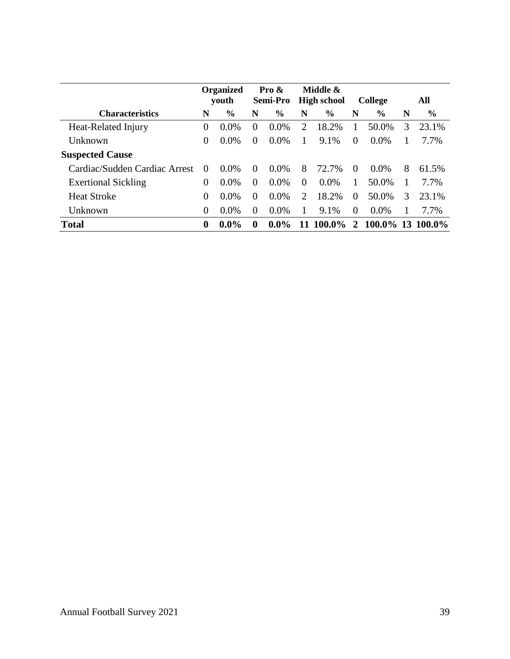|                               |                | <b>Organized</b><br>youth |             | Pro $\&$<br><b>Semi-Pro</b> |              | Middle &<br><b>High school</b> |          | <b>College</b>   |   | All   |
|-------------------------------|----------------|---------------------------|-------------|-----------------------------|--------------|--------------------------------|----------|------------------|---|-------|
| <b>Characteristics</b>        | N              | $\%$                      | N           | $\%$                        | N            | $\frac{6}{6}$                  | N        | $\frac{0}{0}$    | N | $\%$  |
| Heat-Related Injury           | $\overline{0}$ | $0.0\%$                   | $\Omega$    | 0.0%                        | 2            | 18.2%                          | 1        | 50.0%            | 3 | 23.1% |
| <b>Unknown</b>                | $\Omega$       | $0.0\%$                   | $\theta$    | $0.0\%$                     | $\mathbf{1}$ | 9.1%                           | $\Omega$ | $0.0\%$          | 1 | 7.7%  |
| <b>Suspected Cause</b>        |                |                           |             |                             |              |                                |          |                  |   |       |
| Cardiac/Sudden Cardiac Arrest | $\theta$       | $0.0\%$                   | $\Omega$    | $0.0\%$                     | 8            | 72.7%                          | $\theta$ | $0.0\%$          | 8 | 61.5% |
| <b>Exertional Sickling</b>    | $\overline{0}$ | $0.0\%$                   | $\Omega$    | $0.0\%$                     | $\Omega$     | $0.0\%$                        | 1        | 50.0%            | 1 | 7.7%  |
| <b>Heat Stroke</b>            | 0              | $0.0\%$                   | $\Omega$    | $0.0\%$                     | 2            | 18.2%                          | $\theta$ | 50.0%            | 3 | 23.1% |
| Unknown                       | $\overline{0}$ | $0.0\%$                   | $\Omega$    | $0.0\%$                     | 1            | 9.1%                           | $\theta$ | $0.0\%$          |   | 7.7%  |
| <b>Total</b>                  | $\bf{0}$       | $0.0\%$                   | $\mathbf 0$ | $0.0\%$                     | 11           | 100.0%                         | 2        | 100.0% 13 100.0% |   |       |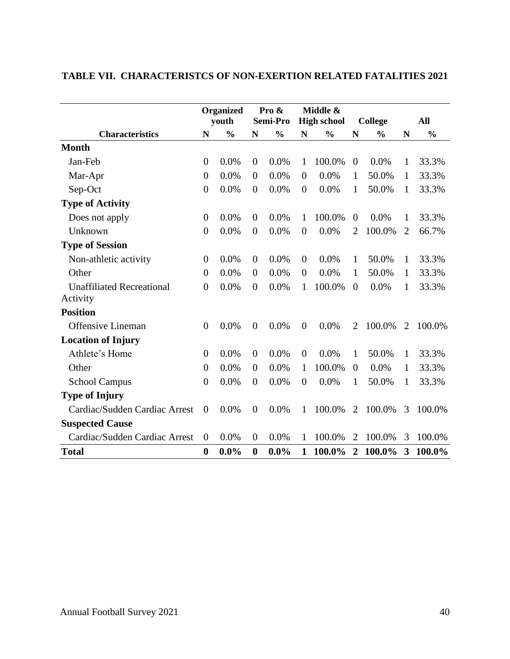|                                  |                  | Organized     |                  | Pro &         |                | Middle &           |                  |                |                |               |
|----------------------------------|------------------|---------------|------------------|---------------|----------------|--------------------|------------------|----------------|----------------|---------------|
|                                  |                  | youth         |                  | Semi-Pro      |                | <b>High school</b> |                  | <b>College</b> |                | All           |
| <b>Characteristics</b>           | N                | $\frac{0}{0}$ | N                | $\frac{0}{0}$ | N              | $\frac{0}{0}$      | N                | $\frac{0}{0}$  | N              | $\frac{0}{0}$ |
| <b>Month</b>                     |                  |               |                  |               |                |                    |                  |                |                |               |
| Jan-Feb                          | $\boldsymbol{0}$ | 0.0%          | $\overline{0}$   | 0.0%          | $\mathbf{1}$   | 100.0%             | $\boldsymbol{0}$ | 0.0%           | 1              | 33.3%         |
| Mar-Apr                          | $\boldsymbol{0}$ | 0.0%          | $\overline{0}$   | 0.0%          | $\overline{0}$ | 0.0%               | 1                | 50.0%          | 1              | 33.3%         |
| Sep-Oct                          | $\boldsymbol{0}$ | 0.0%          | $\theta$         | 0.0%          | $\theta$       | 0.0%               | $\mathbf{1}$     | 50.0%          | 1              | 33.3%         |
| <b>Type of Activity</b>          |                  |               |                  |               |                |                    |                  |                |                |               |
| Does not apply                   | $\boldsymbol{0}$ | 0.0%          | $\theta$         | 0.0%          | 1              | 100.0%             | $\overline{0}$   | 0.0%           | 1              | 33.3%         |
| Unknown                          | $\boldsymbol{0}$ | 0.0%          | $\theta$         | 0.0%          | $\overline{0}$ | 0.0%               | $\overline{2}$   | 100.0%         | $\overline{2}$ | 66.7%         |
| <b>Type of Session</b>           |                  |               |                  |               |                |                    |                  |                |                |               |
| Non-athletic activity            | $\boldsymbol{0}$ | 0.0%          | $\overline{0}$   | 0.0%          | $\theta$       | 0.0%               | $\mathbf{1}$     | 50.0%          | 1              | 33.3%         |
| Other                            | $\boldsymbol{0}$ | 0.0%          | $\theta$         | 0.0%          | $\theta$       | 0.0%               | $\mathbf{1}$     | 50.0%          | $\mathbf{1}$   | 33.3%         |
| <b>Unaffiliated Recreational</b> | $\overline{0}$   | 0.0%          | $\overline{0}$   | 0.0%          | 1              | 100.0%             | $\overline{0}$   | 0.0%           | 1              | 33.3%         |
| Activity                         |                  |               |                  |               |                |                    |                  |                |                |               |
| <b>Position</b>                  |                  |               |                  |               |                |                    |                  |                |                |               |
| <b>Offensive Lineman</b>         | $\overline{0}$   | 0.0%          | $\overline{0}$   | 0.0%          | $\overline{0}$ | 0.0%               | 2                | 100.0%         | $\overline{2}$ | 100.0%        |
| <b>Location of Injury</b>        |                  |               |                  |               |                |                    |                  |                |                |               |
| Athlete's Home                   | $\boldsymbol{0}$ | 0.0%          | $\theta$         | 0.0%          | $\theta$       | 0.0%               | 1                | 50.0%          | 1              | 33.3%         |
| Other                            | $\boldsymbol{0}$ | 0.0%          | $\overline{0}$   | 0.0%          | $\mathbf{1}$   | 100.0%             | $\mathbf{0}$     | 0.0%           | 1              | 33.3%         |
| <b>School Campus</b>             | $\overline{0}$   | 0.0%          | $\theta$         | 0.0%          | $\overline{0}$ | 0.0%               | $\mathbf{1}$     | 50.0%          | 1              | 33.3%         |
| <b>Type of Injury</b>            |                  |               |                  |               |                |                    |                  |                |                |               |
| Cardiac/Sudden Cardiac Arrest    | $\theta$         | 0.0%          | $\overline{0}$   | 0.0%          | 1              | 100.0%             | $\overline{2}$   | 100.0%         | 3              | 100.0%        |
| <b>Suspected Cause</b>           |                  |               |                  |               |                |                    |                  |                |                |               |
| Cardiac/Sudden Cardiac Arrest    | $\overline{0}$   | 0.0%          | $\overline{0}$   | 0.0%          | $\mathbf{1}$   | 100.0%             | $\overline{2}$   | 100.0%         | 3              | 100.0%        |
| <b>Total</b>                     | $\bf{0}$         | $0.0\%$       | $\boldsymbol{0}$ | $0.0\%$       | $\mathbf{1}$   | 100.0%             | $\overline{2}$   | 100.0%         | $\mathbf{3}$   | 100.0%        |

# <span id="page-43-0"></span>**TABLE VII. CHARACTERISTCS OF NON-EXERTION RELATED FATALITIES 2021**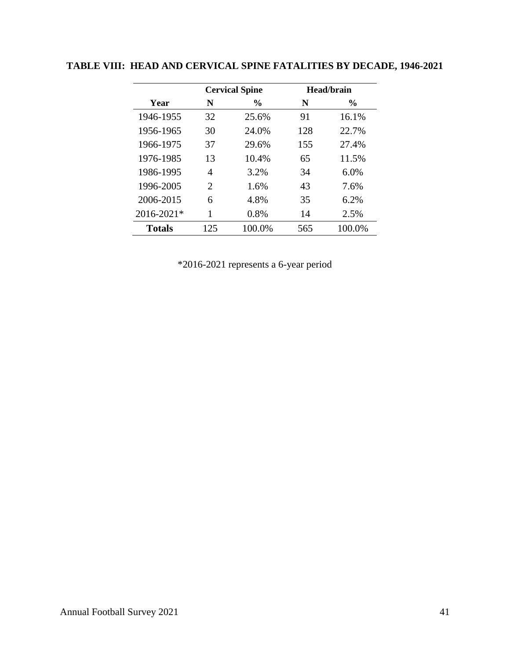|               |                | <b>Cervical Spine</b> |     | Head/brain    |
|---------------|----------------|-----------------------|-----|---------------|
| Year          | N              | $\%$                  | N   | $\frac{0}{0}$ |
| 1946-1955     | 32             | 25.6%                 | 91  | 16.1%         |
| 1956-1965     | 30             | 24.0%                 | 128 | 22.7%         |
| 1966-1975     | 37             | 29.6%                 | 155 | 27.4%         |
| 1976-1985     | 13             | 10.4%                 | 65  | 11.5%         |
| 1986-1995     | 4              | 3.2%                  | 34  | 6.0%          |
| 1996-2005     | $\overline{2}$ | 1.6%                  | 43  | 7.6%          |
| 2006-2015     | 6              | 4.8%                  | 35  | 6.2%          |
| 2016-2021*    | 1              | 0.8%                  | 14  | 2.5%          |
| <b>Totals</b> | 125            | 100.0%                | 565 | 100.0%        |

# <span id="page-44-0"></span>**TABLE VIII: HEAD AND CERVICAL SPINE FATALITIES BY DECADE, 1946-2021**

\*2016-2021 represents a 6-year period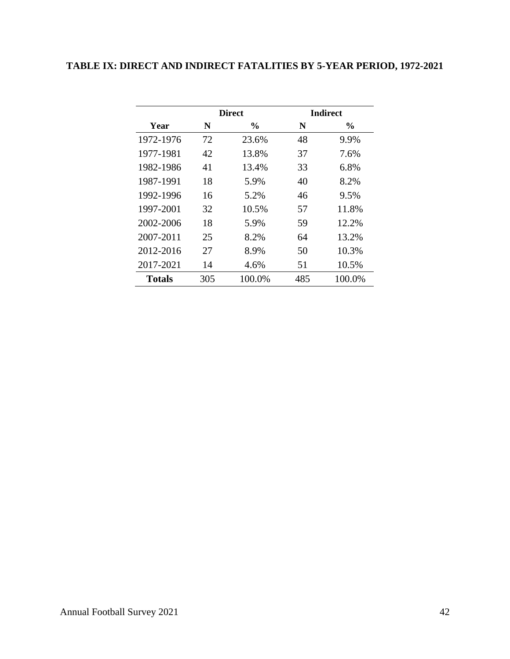# <span id="page-45-0"></span>**TABLE IX: DIRECT AND INDIRECT FATALITIES BY 5-YEAR PERIOD, 1972-2021**

|           |     | <b>Direct</b> |     | <b>Indirect</b> |
|-----------|-----|---------------|-----|-----------------|
| Year      | N   | $\frac{6}{9}$ | N   | $\frac{6}{9}$   |
| 1972-1976 | 72  | 23.6%         | 48  | 9.9%            |
| 1977-1981 | 42  | 13.8%         | 37  | 7.6%            |
| 1982-1986 | 41  | 13.4%         | 33  | 6.8%            |
| 1987-1991 | 18  | 5.9%          | 40  | 8.2%            |
| 1992-1996 | 16  | 5.2%          | 46  | 9.5%            |
| 1997-2001 | 32  | 10.5%         | 57  | 11.8%           |
| 2002-2006 | 18  | 5.9%          | 59  | 12.2%           |
| 2007-2011 | 25  | 8.2%          | 64  | 13.2%           |
| 2012-2016 | 27  | 8.9%          | 50  | 10.3%           |
| 2017-2021 | 14  | 4.6%          | 51  | 10.5%           |
| Totals    | 305 | 100.0%        | 485 | 100.0%          |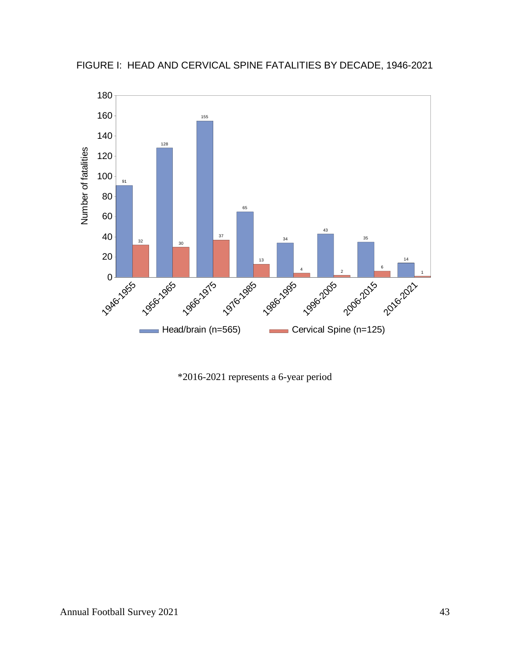



\*2016-2021 represents a 6-year period